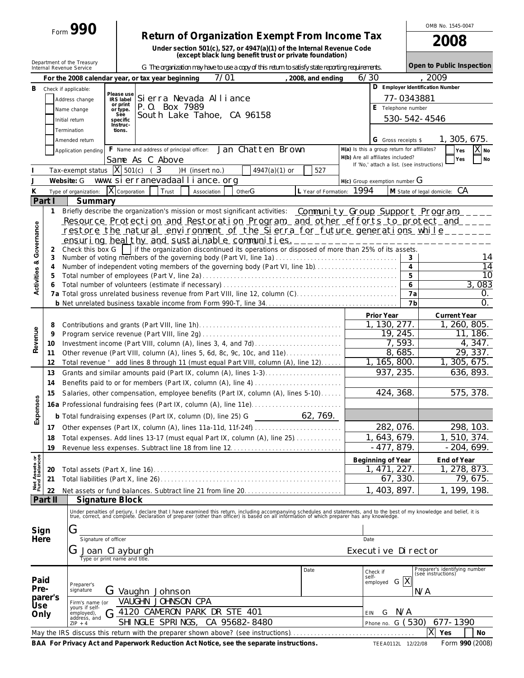|                                |                      | $_{\text{Form}}$ 990                                   |                             |                                                               |                                                                                                                                                                                                                                   |                 |                           |                                                                                  |                                            |                     | OMB No. 1545-0047                                                                                            |
|--------------------------------|----------------------|--------------------------------------------------------|-----------------------------|---------------------------------------------------------------|-----------------------------------------------------------------------------------------------------------------------------------------------------------------------------------------------------------------------------------|-----------------|---------------------------|----------------------------------------------------------------------------------|--------------------------------------------|---------------------|--------------------------------------------------------------------------------------------------------------|
|                                |                      |                                                        |                             |                                                               | Return of Organization Exempt From Income Tax                                                                                                                                                                                     |                 |                           |                                                                                  |                                            |                     | 2008                                                                                                         |
|                                |                      |                                                        |                             |                                                               | Under section 501(c), 527, or 4947(a)(1) of the Internal Revenue Code<br>(except black lung benefit trust or private foundation)                                                                                                  |                 |                           |                                                                                  |                                            |                     |                                                                                                              |
|                                |                      | Department of the Treasury<br>Internal Revenue Service |                             |                                                               | G The organization may have to use a copy of this return to satisfy state reporting requirements.                                                                                                                                 |                 |                           |                                                                                  |                                            |                     | Open to Public Inspection                                                                                    |
|                                |                      |                                                        |                             | For the 2008 calendar year, or tax year beginning             | 7/01                                                                                                                                                                                                                              |                 | , 2008, and ending        | 6/30                                                                             |                                            |                     | 2009                                                                                                         |
| Β                              | Check if applicable: |                                                        |                             |                                                               |                                                                                                                                                                                                                                   |                 |                           |                                                                                  |                                            |                     | D Employer Identification Number                                                                             |
|                                |                      | Address change                                         | Please use<br>IRS label     | Si erra Nevada Alliance                                       |                                                                                                                                                                                                                                   |                 |                           |                                                                                  |                                            | 77-0343881          |                                                                                                              |
|                                |                      | Name change                                            | or print<br>or type.        | P.O. Box 7989                                                 |                                                                                                                                                                                                                                   |                 |                           |                                                                                  | E Telephone number                         |                     |                                                                                                              |
|                                |                      | Initial return                                         | Sée<br>specific<br>Instruc- |                                                               | South Lake Tahoe, CA 96158                                                                                                                                                                                                        |                 |                           |                                                                                  |                                            |                     | 530-542-4546                                                                                                 |
|                                |                      | Termination                                            | tions.                      |                                                               |                                                                                                                                                                                                                                   |                 |                           |                                                                                  |                                            |                     |                                                                                                              |
|                                |                      | Amended return                                         |                             |                                                               |                                                                                                                                                                                                                                   |                 |                           |                                                                                  | G Gross receipts \$                        |                     | 1, 305, 675.                                                                                                 |
|                                |                      | Application pending                                    |                             | Same As C Above                                               | F Name and address of principal officer: Jan Chatten Brown                                                                                                                                                                        |                 |                           | H(a) Is this a group return for affiliates?<br>H(b) Are all affiliates included? |                                            |                     | X No<br>Yes<br>Yes<br><b>No</b>                                                                              |
|                                |                      | Tax-exempt status $ X $ 501(c)                         |                             | 3<br>- 1                                                      | )H (insert no.)                                                                                                                                                                                                                   | $4947(a)(1)$ or | 527                       |                                                                                  | If 'No,' attach a list. (see instructions) |                     |                                                                                                              |
| J                              |                      | Website: G                                             |                             | www. si erranevadaal I i ance. org                            |                                                                                                                                                                                                                                   |                 |                           | $H(c)$ Group exemption number $G$                                                |                                            |                     |                                                                                                              |
| K                              |                      | Type of organization:                                  | $\overline{X}$ Corporation  | Trust                                                         | OtherG<br>Association                                                                                                                                                                                                             |                 | L Year of Formation: 1994 |                                                                                  |                                            |                     | M State of legal domicile: CA                                                                                |
|                                | Part I               | Summary                                                |                             |                                                               |                                                                                                                                                                                                                                   |                 |                           |                                                                                  |                                            |                     |                                                                                                              |
|                                | $\mathbf{1}$         |                                                        |                             |                                                               |                                                                                                                                                                                                                                   |                 |                           |                                                                                  |                                            |                     | Briefly describe the organization's mission or most significant activities: Community Group Support Program, |
|                                |                      |                                                        |                             |                                                               |                                                                                                                                                                                                                                   |                 |                           |                                                                                  |                                            |                     | Resource Protection and Restoration Program, and other efforts to protect and                                |
|                                |                      |                                                        |                             |                                                               | ensuring healthy and sustainable communities.                                                                                                                                                                                     |                 |                           |                                                                                  |                                            |                     | <u>restore the natural environment of the Sierra for future generations while _______</u>                    |
| Activities & Governance        | 2                    | Check this box $G$                                     |                             |                                                               | If the organization discontinued its operations or disposed of more than 25% of its assets.                                                                                                                                       |                 |                           |                                                                                  |                                            |                     |                                                                                                              |
|                                | 3                    |                                                        |                             |                                                               | Number of voting members of the governing body (Part VI, line 1a)                                                                                                                                                                 |                 |                           |                                                                                  |                                            | 3                   | 14                                                                                                           |
|                                | 5                    |                                                        |                             |                                                               | Number of independent voting members of the governing body (Part VI, line 1b)                                                                                                                                                     |                 |                           |                                                                                  |                                            | $\overline{4}$<br>5 | $\overline{14}$<br>10                                                                                        |
|                                | 6                    |                                                        |                             |                                                               |                                                                                                                                                                                                                                   |                 |                           |                                                                                  |                                            | 6                   | 3,083                                                                                                        |
|                                |                      |                                                        |                             |                                                               | 7a Total gross unrelated business revenue from Part VIII, line 12, column (C)                                                                                                                                                     |                 |                           |                                                                                  |                                            | 7a                  | 0.                                                                                                           |
|                                |                      |                                                        |                             |                                                               |                                                                                                                                                                                                                                   |                 |                           |                                                                                  |                                            | 7 <sub>b</sub>      | $\Omega$ .                                                                                                   |
|                                |                      |                                                        |                             |                                                               |                                                                                                                                                                                                                                   |                 |                           |                                                                                  | Prior Year                                 |                     | <b>Current Year</b>                                                                                          |
|                                | 8                    |                                                        |                             |                                                               |                                                                                                                                                                                                                                   |                 |                           |                                                                                  | 1, 130, 277.<br>19, 245.                   |                     | 1, 260, 805.<br>11, 186.                                                                                     |
| Revenue                        | 9<br>10              |                                                        |                             |                                                               |                                                                                                                                                                                                                                   |                 |                           |                                                                                  |                                            | 7,593.              | 4, 347.                                                                                                      |
|                                | 11                   |                                                        |                             |                                                               | Other revenue (Part VIII, column (A), lines 5, 6d, 8c, 9c, 10c, and 11e)                                                                                                                                                          |                 |                           |                                                                                  | 8,685.                                     |                     | 29, 337.                                                                                                     |
|                                | 12                   |                                                        |                             |                                                               | Total revenue ' add lines 8 through 11 (must equal Part VIII, column (A), line 12)                                                                                                                                                |                 |                           |                                                                                  | 1, 165, 800.                               |                     | 1, 305, 675.                                                                                                 |
|                                | 13                   |                                                        |                             |                                                               | Grants and similar amounts paid (Part IX, column (A), lines 1-3)                                                                                                                                                                  |                 |                           |                                                                                  | 937, 235                                   |                     | 636, 893.                                                                                                    |
|                                | 14                   |                                                        |                             |                                                               | Benefits paid to or for members (Part IX, column (A), line 4)                                                                                                                                                                     |                 |                           |                                                                                  | 424, 368.                                  |                     | 575, 378.                                                                                                    |
| 8                              | 15                   |                                                        |                             |                                                               | Salaries, other compensation, employee benefits (Part IX, column (A), lines 5-10)<br>16a Professional fundraising fees (Part IX, column (A), line 11e)                                                                            |                 |                           |                                                                                  |                                            |                     |                                                                                                              |
| Expens                         |                      |                                                        |                             |                                                               |                                                                                                                                                                                                                                   | 62, 769.        |                           |                                                                                  |                                            |                     |                                                                                                              |
|                                | 17                   |                                                        |                             | b Total fundraising expenses (Part IX, column (D), line 25) G | Other expenses (Part IX, column (A), lines 11a-11d, 11f-24f)                                                                                                                                                                      |                 |                           |                                                                                  | 282, 076.                                  |                     | 298, 103.                                                                                                    |
|                                | 18                   |                                                        |                             |                                                               | Total expenses. Add lines 13-17 (must equal Part IX, column (A), line 25)                                                                                                                                                         |                 |                           |                                                                                  | 1, 643, 679.                               |                     | 1, 510, 374.                                                                                                 |
|                                | 19                   |                                                        |                             |                                                               |                                                                                                                                                                                                                                   |                 |                           |                                                                                  | $-477, 879.$                               |                     | $-204, 699.$                                                                                                 |
|                                |                      |                                                        |                             |                                                               |                                                                                                                                                                                                                                   |                 |                           |                                                                                  | Beginning of Year                          |                     | End of Year                                                                                                  |
|                                | 20                   |                                                        |                             |                                                               |                                                                                                                                                                                                                                   |                 |                           |                                                                                  | 1.471.                                     | $\overline{2}27$ .  | 1, 278, 873.                                                                                                 |
| Net Assets or<br>Fund Balances | 21                   |                                                        |                             |                                                               |                                                                                                                                                                                                                                   |                 |                           |                                                                                  | 67, 330.                                   |                     | 79, 675.                                                                                                     |
|                                | 22                   |                                                        |                             |                                                               |                                                                                                                                                                                                                                   |                 |                           |                                                                                  | 1, 403, 897.                               |                     | 1, 199, 198.                                                                                                 |
|                                | Part II              | Signature Block                                        |                             |                                                               |                                                                                                                                                                                                                                   |                 |                           |                                                                                  |                                            |                     |                                                                                                              |
|                                |                      |                                                        |                             |                                                               | Under penalties of perjury, I declare that I have examined this return, including accompanying schedules and statements, and to the best of my knowledge and belief, it is<br>true, correct, and complete. Declaration of prepare |                 |                           |                                                                                  |                                            |                     |                                                                                                              |
| Sign                           |                      | نا                                                     |                             |                                                               |                                                                                                                                                                                                                                   |                 |                           |                                                                                  |                                            |                     |                                                                                                              |
| Here                           |                      | Signature of officer                                   |                             |                                                               |                                                                                                                                                                                                                                   |                 |                           | Date                                                                             |                                            |                     |                                                                                                              |
|                                |                      | Joan Clayburgh ف<br>Type or print name and title.      |                             |                                                               |                                                                                                                                                                                                                                   |                 |                           |                                                                                  | Executive Director                         |                     |                                                                                                              |
|                                |                      |                                                        |                             |                                                               |                                                                                                                                                                                                                                   |                 | Date                      |                                                                                  |                                            |                     |                                                                                                              |
| Paid                           |                      |                                                        |                             |                                                               |                                                                                                                                                                                                                                   |                 |                           | self-                                                                            | Check if<br>employed                       | G X                 | Preparer's identifying number<br>(see instructions)                                                          |
| Pre-                           |                      | Preparer's<br>signature                                |                             | G Vaughn Johnson                                              |                                                                                                                                                                                                                                   |                 |                           |                                                                                  |                                            |                     | N/A                                                                                                          |
| Use                            | parer's              | Firm's name (or<br>yours if self-                      |                             | VAUGHN JOHNSON CPA                                            |                                                                                                                                                                                                                                   |                 |                           |                                                                                  |                                            |                     |                                                                                                              |
| Only                           |                      | employed),<br>G                                        |                             |                                                               | 4120 CAMERON PARK DR STE 401                                                                                                                                                                                                      |                 |                           | <b>EIN</b>                                                                       | G                                          | N/A                 |                                                                                                              |
|                                |                      | address, and<br>$ZIP + 4$                              |                             | SHI NGLE SPRI NGS                                             | CA 95682-8480                                                                                                                                                                                                                     |                 |                           |                                                                                  | Phone no.                                  | G(530)              | 677-1390                                                                                                     |
|                                |                      |                                                        |                             |                                                               | May the IRS discuss this return with the preparer shown above? (see instructions).                                                                                                                                                |                 |                           |                                                                                  |                                            |                     | X<br>Yes<br>No                                                                                               |
|                                |                      |                                                        |                             |                                                               | BAA For Privacy Act and Paperwork Reduction Act Notice, see the separate instructions.                                                                                                                                            |                 |                           |                                                                                  | TEEA0112L 12/22/08                         |                     | Form 990 (2008)                                                                                              |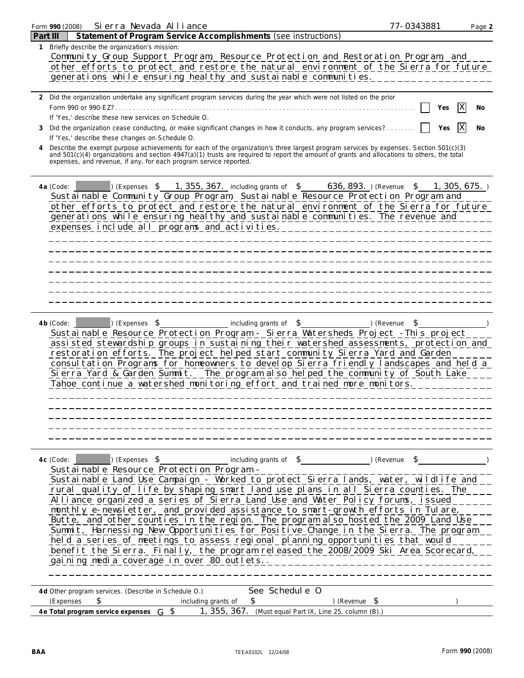|              | Si erra Nevada Alliance<br>Form 990 (2008)                                                                                                                                                                      | 77-0343881       | Page 2 |
|--------------|-----------------------------------------------------------------------------------------------------------------------------------------------------------------------------------------------------------------|------------------|--------|
|              | Statement of Program Service Accomplishments (see instructions)<br>Part III                                                                                                                                     |                  |        |
| $\mathbf{1}$ | Briefly describe the organization's mission:                                                                                                                                                                    |                  |        |
|              | Community Group Support Program, Resource Protection and Restoration Program, and                                                                                                                               |                  |        |
|              | other efforts to protect and restore the natural environment of the Sierra for future                                                                                                                           |                  |        |
|              | generations while ensuring healthy and sustainable communities.                                                                                                                                                 |                  |        |
|              | 2 Did the organization undertake any significant program services during the year which were not listed on the prior                                                                                            |                  |        |
|              |                                                                                                                                                                                                                 | Yes              | No     |
|              | If 'Yes,' describe these new services on Schedule O.                                                                                                                                                            |                  |        |
| 3            | Did the organization cease conducting, or make significant changes in how it conducts, any program services?                                                                                                    | Yes              | No     |
|              | If 'Yes,' describe these changes on Schedule O.                                                                                                                                                                 |                  |        |
|              | Describe the exempt purpose achievements for each of the organization's three largest program services by expenses. Section 501(c)(3)                                                                           |                  |        |
|              | and 501(c)(4) organizations and section 4947(a)(1) trusts are required to report the amount of grants and allocations to others, the total<br>expenses, and revenue, if any, for each program service reported. |                  |        |
|              |                                                                                                                                                                                                                 |                  |        |
|              |                                                                                                                                                                                                                 |                  |        |
|              | (Expenses \$ 1, 355, 367. including grants of \$ 636, 893.) (Revenue \$ 1, 305, 675.)<br>4a (Code:<br>Sustainable Community Group Program, Sustainable Resource Protection Program and                          |                  |        |
|              | other efforts to protect and restore the natural environment of the Sierra for future                                                                                                                           |                  |        |
|              | generations while ensuring healthy and sustainable communities. The revenue and                                                                                                                                 |                  |        |
|              | expenses include all programs and activities.                                                                                                                                                                   |                  |        |
|              |                                                                                                                                                                                                                 |                  |        |
|              |                                                                                                                                                                                                                 |                  |        |
|              |                                                                                                                                                                                                                 |                  |        |
|              |                                                                                                                                                                                                                 |                  |        |
|              |                                                                                                                                                                                                                 |                  |        |
|              |                                                                                                                                                                                                                 |                  |        |
|              |                                                                                                                                                                                                                 |                  |        |
|              |                                                                                                                                                                                                                 |                  |        |
|              | including grants of \$<br>(Expenses \$<br>$4 b$ (Code: $\vert$<br>(Revenue)                                                                                                                                     | \$               |        |
|              | Sustainable Resource Protection Program - Sierra Watersheds Project - This project                                                                                                                              |                  |        |
|              | assisted stewardship groups in sustaining their watershed assessments, protection and                                                                                                                           |                  |        |
|              | restoration efforts. The project helped start community Sierra Yard and Garden                                                                                                                                  |                  |        |
|              | consultation Programs for homeowners to develop Sierra friendly landscapes and held a                                                                                                                           |                  |        |
|              | Sierra Yard & Garden Summit. The program also helped the community of South Lake                                                                                                                                |                  |        |
|              | Tahoe continue a watershed monitoring effort and trained more monitors.                                                                                                                                         |                  |        |
|              |                                                                                                                                                                                                                 |                  |        |
|              |                                                                                                                                                                                                                 |                  |        |
|              |                                                                                                                                                                                                                 |                  |        |
|              |                                                                                                                                                                                                                 |                  |        |
|              |                                                                                                                                                                                                                 |                  |        |
|              |                                                                                                                                                                                                                 |                  |        |
|              | including grants of \$<br>(Expenses \$<br>4c (Code:<br>Sustainable Resource Protection Program -                                                                                                                | $($ Revenue $\$$ |        |
|              | Sustainable Land Use Campaign - Worked to protect Sierra lands, water, wildlife and                                                                                                                             |                  |        |
|              | rural quality of life by shaping smart land use plans in all Sierra counties. The                                                                                                                               |                  |        |
|              | Alliance organized a series of Sierra Land Use and Water Policy forums, issued                                                                                                                                  |                  |        |
|              | monthly e-newsletter, and provided assistance to smart-growth efforts in Tulare,                                                                                                                                |                  |        |
|              | Butte, and other counties in the region. The program also hosted the 2009 Land Use                                                                                                                              |                  |        |
|              | Summit, Harnessing New Opportunities for Positive Change in the Sierra. The program                                                                                                                             |                  |        |
|              | held a series of meetings to assess regional planning opportunities that would                                                                                                                                  |                  |        |
|              | benefit the Sierra. Finally, the program released the 2008/2009 Ski Area Scorecard                                                                                                                              |                  |        |
|              | gaining media coverage in over 80 outlets                                                                                                                                                                       |                  |        |
|              |                                                                                                                                                                                                                 |                  |        |
|              |                                                                                                                                                                                                                 |                  |        |
|              | See Schedul e 0<br>4d Other program services. (Describe in Schedule O.)<br>(Expenses<br>\$<br>\$<br>including grants of<br>) (Revenue \$                                                                        |                  |        |
|              | 4e Total program service expenses $G$ \$ 1, 355, 367. (Must equal Part IX, Line 25, column (B).)                                                                                                                |                  |        |
|              |                                                                                                                                                                                                                 |                  |        |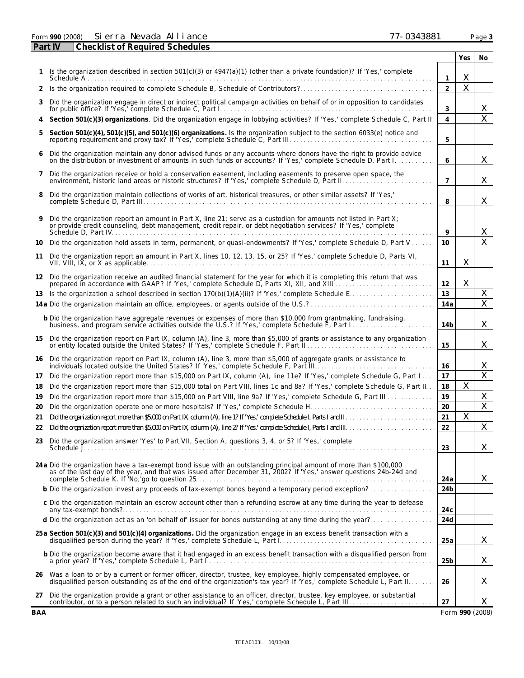Form **990** (2008) Page **3** Sierra Nevada Alliance 77-0343881

|     | Part IV<br><b>Checklist of Required Schedules</b>                                                                                                                                                                                             |                 |                         |                 |
|-----|-----------------------------------------------------------------------------------------------------------------------------------------------------------------------------------------------------------------------------------------------|-----------------|-------------------------|-----------------|
|     |                                                                                                                                                                                                                                               |                 | Yes                     | No              |
|     | Is the organization described in section $501(c)(3)$ or $4947(a)(1)$ (other than a private foundation)? If 'Yes,' complete                                                                                                                    | 1               | Χ                       |                 |
| 2   | Is the organization required to complete Schedule B, Schedule of Contributors?                                                                                                                                                                | $\overline{2}$  | $\overline{\mathsf{x}}$ |                 |
| 3   | Did the organization engage in direct or indirect political campaign activities on behalf of or in opposition to candidates<br>for public office? If 'Yes,' complete Schedule C, Part I                                                       | 3               |                         | X               |
| 4   | Section 501(c)(3) organizations. Did the organization engage in lobbying activities? If 'Yes,' complete Schedule C, Part II.                                                                                                                  | $\overline{4}$  |                         | $\overline{X}$  |
| 5   | Section 501(c)(4), 501(c)(5), and 501(c)(6) organizations. Is the organization subject to the section 6033(e) notice and                                                                                                                      | 5               |                         |                 |
|     | Did the organization maintain any donor advised funds or any accounts where donors have the right to provide advice<br>on the distribution or investment of amounts in such funds or accounts? If 'Yes,' complete Schedule D, Part I.         | 6               |                         | X               |
| 7   | Did the organization receive or hold a conservation easement, including easements to preserve open space, the                                                                                                                                 | $\overline{7}$  |                         | X               |
| 8   | Did the organization maintain collections of works of art, historical treasures, or other similar assets? If 'Yes,'                                                                                                                           | 8               |                         | X               |
|     | Did the organization report an amount in Part X, line 21; serve as a custodian for amounts not listed in Part X; or provide credit counseling, debt management, credit repair, or debt negotiation services? If 'Yes,' complet                | 9               |                         | X               |
| 10  | Did the organization hold assets in term, permanent, or quasi-endowments? If 'Yes,' complete Schedule D, Part V                                                                                                                               | 10              |                         | $\overline{X}$  |
| 11  | Did the organization report an amount in Part X, lines 10, 12, 13, 15, or 25? If 'Yes,' complete Schedule D, Parts VI,                                                                                                                        | 11              | X                       |                 |
|     | 12 Did the organization receive an audited financial statement for the year for which it is completing this return that was                                                                                                                   | 12              | X                       |                 |
| 13  |                                                                                                                                                                                                                                               | 13              |                         | Χ               |
|     |                                                                                                                                                                                                                                               | 14a             |                         | $\mathsf{X}$    |
|     | b Did the organization have aggregate revenues or expenses of more than \$10,000 from grantmaking, fundraising,                                                                                                                               | 14 <sub>b</sub> |                         | X               |
| 15  | Did the organization report on Part IX, column (A), line 3, more than \$5,000 of grants or assistance to any organization                                                                                                                     | 15              |                         | X               |
| 16  | Did the organization report on Part IX, column (A), line 3, more than \$5,000 of aggregate grants or assistance to<br>individuals located outside the United States? If 'Yes,' complete Schedule F, Part III.                                 | 16              |                         | X               |
| 17  | Did the organization report more than \$15,000 on Part IX, column (A), line 11e? If 'Yes,' complete Schedule G, Part I                                                                                                                        | 17              |                         | $\overline{X}$  |
| 18  | Did the organization report more than \$15,000 total on Part VIII, lines 1c and 8a? If 'Yes,' complete Schedule G, Part II                                                                                                                    | 18              | Χ                       |                 |
| 19  | Did the organization report more than \$15,000 on Part VIII, line 9a? If 'Yes,' complete Schedule G, Part III                                                                                                                                 | 19              |                         | X               |
| 20  |                                                                                                                                                                                                                                               | 20              |                         | $\sf X$         |
| 21  |                                                                                                                                                                                                                                               | 21              | Χ                       |                 |
|     |                                                                                                                                                                                                                                               | $\overline{22}$ |                         | $\mathsf{X}$    |
| 23  | Did the organization answer 'Yes' to Part VII, Section A, questions 3, 4, or 5? If 'Yes,' complete                                                                                                                                            | 23              |                         | X               |
|     | 24 a Did the organization have a tax-exempt bond issue with an outstanding principal amount of more than \$100,000 as of the last day of the year, and that was issued after December 31, 2002? If 'Yes,' answer questions 24b-               | 24 a            |                         | X               |
|     | b Did the organization invest any proceeds of tax-exempt bonds beyond a temporary period exception?                                                                                                                                           | 24 <sub>b</sub> |                         |                 |
|     | c Did the organization maintain an escrow account other than a refunding escrow at any time during the year to defease                                                                                                                        | 24c             |                         |                 |
|     |                                                                                                                                                                                                                                               | 24d             |                         |                 |
|     | 25 a Section 501(c)(3) and 501(c)(4) organizations. Did the organization engage in an excess benefit transaction with a                                                                                                                       | 25a             |                         | X               |
|     | b Did the organization become aware that it had engaged in an excess benefit transaction with a disqualified person from                                                                                                                      | 25 <sub>b</sub> |                         | X               |
|     | 26 Was a loan to or by a current or former officer, director, trustee, key employee, highly compensated employee, or<br>disqualified person outstanding as of the end of the organization's tax year? If 'Yes,' complete Schedule L, Part II. | 26              |                         | X               |
|     | 27 Did the organization provide a grant or other assistance to an officer, director, trustee, key employee, or substantial                                                                                                                    | 27              |                         | X               |
| BAA |                                                                                                                                                                                                                                               |                 |                         | Form 990 (2008) |

| 77-0343881 |  |  |
|------------|--|--|
|            |  |  |
|            |  |  |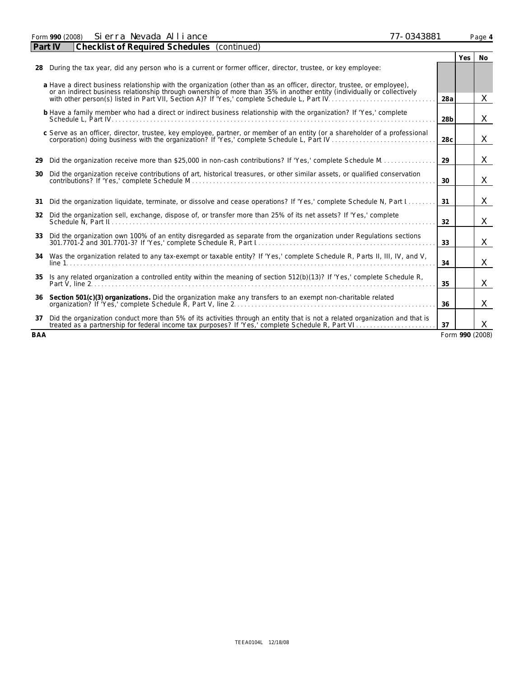| Form 990 (2008) | AI<br>Si erra<br>Nevada<br>ance        |             | 0343881<br>$-1$ | Page 4 |
|-----------------|----------------------------------------|-------------|-----------------|--------|
| Part IV         | <b>Checklist of Required Schedules</b> | (continued) |                 |        |

**28** During the tax year, did any person who is a current or former officer, director, trustee, or key employee:

|     | During the tax year, and any person who is a current or former omeen, alleged, trastee, or key employee.                                                                                                                                                                                                                                           |                 |                 |
|-----|----------------------------------------------------------------------------------------------------------------------------------------------------------------------------------------------------------------------------------------------------------------------------------------------------------------------------------------------------|-----------------|-----------------|
|     | a Have a direct business relationship with the organization (other than as an officer, director, trustee, or employee),<br>or an indirect business relationship through ownership of more than 35% in another entity (individually or collectively<br>with other person(s) listed in Part VII, Section A)? If 'Yes,' complete Schedule L, Part IV. | 28a             | $\times$        |
|     | b Have a family member who had a direct or indirect business relationship with the organization? If 'Yes,' complete                                                                                                                                                                                                                                | 28 <sub>b</sub> | X               |
|     | c Serve as an officer, director, trustee, key employee, partner, or member of an entity (or a shareholder of a professional                                                                                                                                                                                                                        | 28 <sub>c</sub> | X.              |
| 29  | Did the organization receive more than \$25,000 in non-cash contributions? If 'Yes,' complete Schedule M                                                                                                                                                                                                                                           | 29              | X               |
| 30  | Did the organization receive contributions of art, historical treasures, or other similar assets, or qualified conservation                                                                                                                                                                                                                        | 30              | X               |
| 31  | Did the organization liquidate, terminate, or dissolve and cease operations? If 'Yes,' complete Schedule N, Part I                                                                                                                                                                                                                                 | 31              | X               |
| 32  | Did the organization sell, exchange, dispose of, or transfer more than 25% of its net assets? If 'Yes,' complete                                                                                                                                                                                                                                   | 32              | X               |
|     | 33 Did the organization own 100% of an entity disregarded as separate from the organization under Regulations sections                                                                                                                                                                                                                             | 33              | X               |
|     | 34 Was the organization related to any tax-exempt or taxable entity? If 'Yes,' complete Schedule R, Parts II, III, IV, and V,                                                                                                                                                                                                                      | 34              | X               |
| 35  | Is any related organization a controlled entity within the meaning of section 512(b)(13)? If 'Yes,' complete Schedule R,                                                                                                                                                                                                                           | 35              | $\mathsf{X}$    |
| 36  | Section $501(c)(3)$ organizations. Did the organization make any transfers to an exempt non-charitable related                                                                                                                                                                                                                                     | 36              | X               |
| 37  | Did the organization conduct more than 5% of its activities through an entity that is not a related organization and that is                                                                                                                                                                                                                       | 37              | X               |
| BAA |                                                                                                                                                                                                                                                                                                                                                    |                 | Form 990 (2008) |

Г

**Yes No**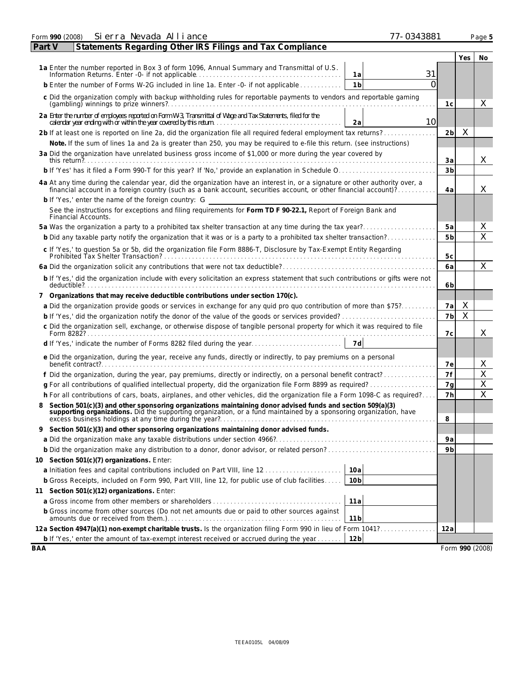| 77-0343881<br>Si erra Nevada Alliance<br>Form 990 (2008)                                                                                                                                                                         |                |                 | Page 5  |
|----------------------------------------------------------------------------------------------------------------------------------------------------------------------------------------------------------------------------------|----------------|-----------------|---------|
| Statements Regarding Other IRS Filings and Tax Compliance<br>Part V                                                                                                                                                              |                |                 |         |
|                                                                                                                                                                                                                                  |                | Yes             | No.     |
| 31<br>1a                                                                                                                                                                                                                         |                |                 |         |
| b Enter the number of Forms W-2G included in line 1a. Enter -0- if not applicable<br>1 <sub>b</sub>                                                                                                                              | 0              |                 |         |
| c Did the organization comply with backup withholding rules for reportable payments to vendors and reportable gaming                                                                                                             | 1c             |                 | X       |
| 2a Enter the number of employees reported on Form W-3, Transmittal of Wage and Tax Statements, filed for the<br>10<br>calendar year ending with or within the year covered by this return.<br>2a                                 |                |                 |         |
| 2b If at least one is reported on line 2a, did the organization file all required federal employment tax returns?                                                                                                                | 2 <sub>b</sub> | X               |         |
| Note. If the sum of lines 1a and 2a is greater than 250, you may be required to e-file this return. (see instructions)                                                                                                           |                |                 |         |
| 3a Did the organization have unrelated business gross income of \$1,000 or more during the year covered by                                                                                                                       | 3a             |                 | X       |
|                                                                                                                                                                                                                                  | 3 <sub>b</sub> |                 |         |
| 4a At any time during the calendar year, did the organization have an interest in, or a signature or other authority over, a financial account in a foreign country (such as a bank account, securities account, or other fina   | 4a             |                 | X       |
| b If 'Yes,' enter the name of the foreign country: G                                                                                                                                                                             |                |                 |         |
| See the instructions for exceptions and filing requirements for Form TD F 90-22.1, Report of Foreign Bank and<br>Financial Accounts.                                                                                             |                |                 |         |
|                                                                                                                                                                                                                                  | 5a             |                 | X       |
| b Did any taxable party notify the organization that it was or is a party to a prohibited tax shelter transaction?                                                                                                               | 5 <sub>b</sub> |                 | Χ       |
|                                                                                                                                                                                                                                  |                |                 |         |
| c If 'Yes,' to question 5a or 5b, did the organization file Form 8886-T, Disclosure by Tax-Exempt Entity Regarding                                                                                                               | 5c             |                 |         |
|                                                                                                                                                                                                                                  | 6a             |                 | X       |
| b If 'Yes,' did the organization include with every solicitation an express statement that such contributions or gifts were not                                                                                                  | 6b             |                 |         |
| Organizations that may receive deductible contributions under section 170(c).                                                                                                                                                    |                |                 |         |
| a Did the organization provide goods or services in exchange for any quid pro quo contribution of more than \$75?                                                                                                                | 7a             | Χ               |         |
|                                                                                                                                                                                                                                  | 7 <sub>b</sub> | X               |         |
| c Did the organization sell, exchange, or otherwise dispose of tangible personal property for which it was required to file                                                                                                      | 7с             |                 | X       |
| 7d<br>d If 'Yes,' indicate the number of Forms 8282 filed during the year                                                                                                                                                        |                |                 |         |
| e Did the organization, during the year, receive any funds, directly or indirectly, to pay premiums on a personal<br>benefit contract?                                                                                           | 7е             |                 | X       |
| f Did the organization, during the year, pay premiums, directly or indirectly, on a personal benefit contract?                                                                                                                   | 7f             |                 | $\sf X$ |
| g For all contributions of qualified intellectual property, did the organization file Form 8899 as required?                                                                                                                     | 7g             |                 | X       |
| h For all contributions of cars, boats, airplanes, and other vehicles, did the organization file a Form 1098-C as required?                                                                                                      | 7h             |                 | $\sf X$ |
| Section 501(c)(3) and other sponsoring organizations maintaining donor advised funds and section 509(a)(3)<br>supporting organizations. Did the supporting organization, or a fund maintained by a sponsoring organization, have | 8              |                 |         |
| Section 501(c)(3) and other sponsoring organizations maintaining donor advised funds.<br>9                                                                                                                                       |                |                 |         |
|                                                                                                                                                                                                                                  | 9a             |                 |         |
|                                                                                                                                                                                                                                  | 9 <sub>b</sub> |                 |         |
| 10 Section 501(c)(7) organizations. Enter:                                                                                                                                                                                       |                |                 |         |
| 10a<br>a Initiation fees and capital contributions included on Part VIII, line 12                                                                                                                                                |                |                 |         |
| 10 <sub>b</sub>                                                                                                                                                                                                                  |                |                 |         |
| b Gross Receipts, included on Form 990, Part VIII, line 12, for public use of club facilities                                                                                                                                    |                |                 |         |
| 11 Section 501(c)(12) organizations. Enter:<br>11a                                                                                                                                                                               |                |                 |         |
| b Gross income from other sources (Do not net amounts due or paid to other sources against                                                                                                                                       |                |                 |         |
| 11 <sub>b</sub>                                                                                                                                                                                                                  |                |                 |         |
| 12a Section 4947(a)(1) non-exempt charitable trusts. Is the organization filing Form 990 in lieu of Form 1041?                                                                                                                   | 12a            |                 |         |
| 12 <sub>b</sub><br>b If 'Yes,' enter the amount of tax-exempt interest received or accrued during the year                                                                                                                       |                |                 |         |
| BAA                                                                                                                                                                                                                              |                | Form 990 (2008) |         |

 $\overline{\phantom{a}}$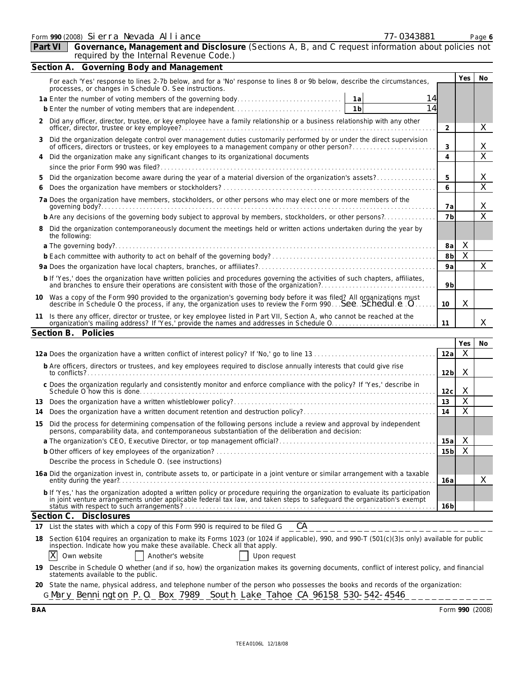| 990 (2008)<br>$\sim$<br>Form | $\sim$<br>ance<br>-Si erra<br>ΑI<br>Nevada<br>◁ | 3881ء<br>-<br>້ | Page <i>t</i> |
|------------------------------|-------------------------------------------------|-----------------|---------------|
|                              |                                                 |                 |               |

| Governance, Management and Disclosure (Sections A, B, and C request information about policies not required by the Internal Revenue Code.)<br><b>Part VI</b>                       |   |     |     |
|------------------------------------------------------------------------------------------------------------------------------------------------------------------------------------|---|-----|-----|
| Section A. Governing Body and Management                                                                                                                                           |   |     |     |
| For each 'Yes' response to lines 2-7b below, and for a 'No' response to lines 8 or 9b below, describe the circumstances,<br>processes, or changes in Schedule O. See instructions. |   | Yes | No. |
| 1a Enter the number of voting members of the governing body<br>1a                                                                                                                  |   |     |     |
| 1b                                                                                                                                                                                 |   |     |     |
| Did any officer, director, trustee, or key employee have a family relationship or a business relationship with any other                                                           |   |     |     |
| Did the organization delegate control over management duties customarily performed by or under the direct supervision<br>3                                                         |   |     |     |
| Did the organization make any significant changes to its organizational documents                                                                                                  |   |     |     |
|                                                                                                                                                                                    |   |     |     |
| Did the organization become aware during the year of a material diversion of the organization's assets?<br>5                                                                       | 5 |     |     |

| 6  |                                                                                                                                                                                                                                | 6              |   |   |
|----|--------------------------------------------------------------------------------------------------------------------------------------------------------------------------------------------------------------------------------|----------------|---|---|
|    | 7a Does the organization have members, stockholders, or other persons who may elect one or more members of the                                                                                                                 | 7а             |   | ∧ |
|    | b Are any decisions of the governing body subject to approval by members, stockholders, or other persons?                                                                                                                      | 7b             |   | ∧ |
| 8  | Did the organization contemporaneously document the meetings held or written actions undertaken during the year by<br>the following:                                                                                           |                |   |   |
|    |                                                                                                                                                                                                                                | 8al            | X |   |
|    |                                                                                                                                                                                                                                | 8b             | X |   |
|    |                                                                                                                                                                                                                                | 9a             |   |   |
|    | b If 'Yes,' does the organization have written policies and procedures governing the activities of such chapters, affiliates,<br>and branches to ensure their operations are consistent with those of the organization?        | 9 <sub>b</sub> |   |   |
| 10 | Was a copy of the Form 990 provided to the organization's governing body before it was filed? All organizations must<br>describe in Schedule O the process, if any, the organization uses to review the Form 990See. Schedul.e | 10             | X |   |
| 11 | Is there any officer, director or trustee, or key employee listed in Part VII, Section A, who cannot be reached at the organization's mailing address? If 'Yes,' provide the names and addresses in Schedule O.                |                |   |   |
|    | Section B. Policies                                                                                                                                                                                                            |                |   |   |

|                                                                                                                                                                                                                                                           |                 | Yes | No. |
|-----------------------------------------------------------------------------------------------------------------------------------------------------------------------------------------------------------------------------------------------------------|-----------------|-----|-----|
|                                                                                                                                                                                                                                                           | 12a             | X   |     |
| b Are officers, directors or trustees, and key employees required to disclose annually interests that could give rise<br>to conflicts?                                                                                                                    | 12 <sub>b</sub> | X   |     |
| c Does the organization regularly and consistently monitor and enforce compliance with the policy? If 'Yes,' describe in<br>Schedule O how this is done.                                                                                                  | 12c             | X   |     |
| 13                                                                                                                                                                                                                                                        | 13              | X   |     |
| 14                                                                                                                                                                                                                                                        | 14              | X   |     |
| Did the process for determining compensation of the following persons include a review and approval by independent persons, comparability data, and contemporaneous substantiation of the deliberation and decision:<br>15                                |                 |     |     |
|                                                                                                                                                                                                                                                           | 15a             | X   |     |
|                                                                                                                                                                                                                                                           | 15 <sub>b</sub> | X   |     |
| Describe the process in Schedule O. (see instructions)                                                                                                                                                                                                    |                 |     |     |
| 16a Did the organization invest in, contribute assets to, or participate in a joint venture or similar arrangement with a taxable                                                                                                                         | 16a             |     | Χ   |
| b If 'Yes,' has the organization adopted a written policy or procedure requiring the organization to evaluate its participation<br>in joint venture arrangements under applicable federal tax law, and taken steps to safeguard the organization's exempt | 16 <sub>b</sub> |     |     |
| Section C. Disclosures                                                                                                                                                                                                                                    |                 |     |     |

|      | CA<br>17 List the states with which a copy of this Form 990 is required to be filed G                                                                                                                                                                                                        |
|------|----------------------------------------------------------------------------------------------------------------------------------------------------------------------------------------------------------------------------------------------------------------------------------------------|
| 18 - | Section 6104 requires an organization to make its Forms 1023 (or 1024 if applicable), 990, and 990-T (501(c)(3)s only) available for public<br>inspection. Indicate how you make these available. Check all that apply.<br>$\overline{X}$ Own website<br>Another's website<br>  Upon request |
|      | 19 Describe in Schedule O whether (and if so, how) the organization makes its governing documents, conflict of interest policy, and financial<br>statements available to the public.                                                                                                         |
|      | 20 State the name, physical address, and telephone number of the person who possesses the books and records of the organization:                                                                                                                                                             |
|      | GMary Bennington P.O. Box 7989 South Lake Tahoe CA 96158 530-542-4546                                                                                                                                                                                                                        |

**BAA** Form **990** (2008)

| 0242991 |  |  |
|---------|--|--|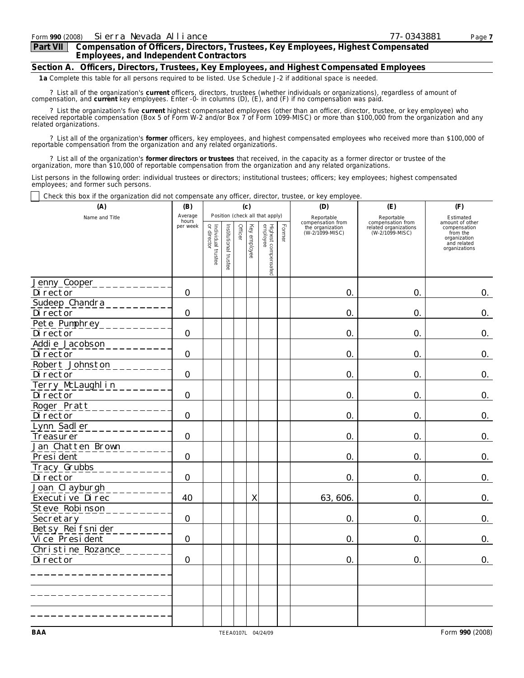**Part VII Compensation of Officers, Directors, Trustees, Key Employees, Highest Compensated Employees, and Independent Contractors**

### **Section A. Officers, Directors, Trustees, Key Employees, and Highest Compensated Employees**

**1a** Complete this table for all persons required to be listed. Use Schedule J-2 if additional space is needed.

P List all of the organization's current officers, directors, trustees (whether individuals or organizations), regardless of amount of<br>.compensation, and current key employees. Enter -0- in columns (D), (E), and (F) if no

? List the organization's five **current** highest compensated employees (other than an officer, director, trustee, or key employee) who received reportable compensation (Box 5 of Form W-2 and/or Box 7 of Form 1099-MISC) or more than \$100,000 from the organization and any related organizations.

? List all of the organization's **former** officers, key employees, and highest compensated employees who received more than \$100,000 of reportable compensation from the organization and any related organizations.

list all of the organization's former directors or trustees that received, in the capacity as a former director or trustee of the organization, more than \$10,000 of reportable compensation from the organization and any rel

List persons in the following order: individual trustees or directors; institutional trustees; officers; key employees; highest compensated employees; and former such persons.

 $\Box$  Check this box if the organization did not compensate any officer, director, trustee, or key employee.

| (A)                                    | (B)               |                                   |                       | (c)     |              |                                 |        | (D)                                                                    | (E)                                                           | (F)                                                                                         |
|----------------------------------------|-------------------|-----------------------------------|-----------------------|---------|--------------|---------------------------------|--------|------------------------------------------------------------------------|---------------------------------------------------------------|---------------------------------------------------------------------------------------------|
| Name and Title                         | Average           |                                   |                       |         |              | Position (check all that apply) |        |                                                                        | Reportable                                                    | Estimated                                                                                   |
|                                        | hours<br>per week | Individual trustee<br>or director | Institutional trustee | Officer | Key employee | Highest compensated<br>employee | Former | Reportable<br>compensation from<br>the organization<br>(W-2/1099-MISC) | compensation from<br>related organizations<br>(W-2/1099-MISC) | amount of other<br>compensation<br>from the<br>organization<br>and related<br>organizations |
| Jenny Cooper                           |                   |                                   |                       |         |              |                                 |        |                                                                        |                                                               |                                                                                             |
| Di rector                              | $\mathbf 0$       |                                   |                       |         |              |                                 |        | 0.                                                                     | 0.                                                            | 0.                                                                                          |
| Sudeep Chandra<br>Di rector            | $\mathbf 0$       |                                   |                       |         |              |                                 |        | 0.                                                                     | $\mathsf{O}.$                                                 | 0.                                                                                          |
| Pete Pumphrey<br>Di rector             | $\overline{O}$    |                                   |                       |         |              |                                 |        | 0.                                                                     | $\mathsf{O}.$                                                 | 0.                                                                                          |
| Addi e Jacobson<br>Di rector           | $\mathbf 0$       |                                   |                       |         |              |                                 |        | $\mathsf{O}$ .                                                         | 0.                                                            | 0.                                                                                          |
| Robert Johnston<br>Di rector           | $\overline{0}$    |                                   |                       |         |              |                                 |        | $\mathsf{O}.$                                                          | $\overline{0}$                                                | 0.                                                                                          |
| Terry McLaughlin<br>Di rector          | $\overline{0}$    |                                   |                       |         |              |                                 |        | $\mathsf{O}.$                                                          | 0.                                                            | 0.                                                                                          |
| Roger Pratt<br>Di rector               | $\overline{0}$    |                                   |                       |         |              |                                 |        | $\Omega$ .                                                             | $\mathsf{O}$ .                                                | 0.                                                                                          |
| Lynn Sadl er                           |                   |                                   |                       |         |              |                                 |        |                                                                        |                                                               |                                                                                             |
| Treasurer                              | $\overline{O}$    |                                   |                       |         |              |                                 |        | 0.                                                                     | 0.                                                            | $\mathsf{O}$ .                                                                              |
| Jan Chatten Brown<br>Presi dent        | $\overline{0}$    |                                   |                       |         |              |                                 |        | $\mathsf{O}$ .                                                         | $\overline{O}$ .                                              | 0.                                                                                          |
| Tracy Grubbs<br>Di rector              | $\overline{0}$    |                                   |                       |         |              |                                 |        | $\mathsf{O}.$                                                          | $\overline{0}$ .                                              | 0.                                                                                          |
| Joan Cl ayburgh<br>Executive Direc     | 40                |                                   |                       |         | Χ            |                                 |        | 63, 606.                                                               | $\mathsf{O}.$                                                 | 0.                                                                                          |
| Steve Robinson<br>Secretary            | $\overline{O}$    |                                   |                       |         |              |                                 |        | $\Omega$ .                                                             | $\Omega$ .                                                    | 0.                                                                                          |
| Betsy Rei fsni der<br>Vi ce Presi dent | $\mathbf 0$       |                                   |                       |         |              |                                 |        | 0.                                                                     | 0.                                                            | $\mathbf{0}$ .                                                                              |
| Christine Rozance<br>Di rector         | $\overline{0}$    |                                   |                       |         |              |                                 |        | 0.                                                                     | 0.                                                            | O <sub>1</sub>                                                                              |
|                                        |                   |                                   |                       |         |              |                                 |        |                                                                        |                                                               |                                                                                             |
|                                        |                   |                                   |                       |         |              |                                 |        |                                                                        |                                                               |                                                                                             |
|                                        |                   |                                   |                       |         |              |                                 |        |                                                                        |                                                               |                                                                                             |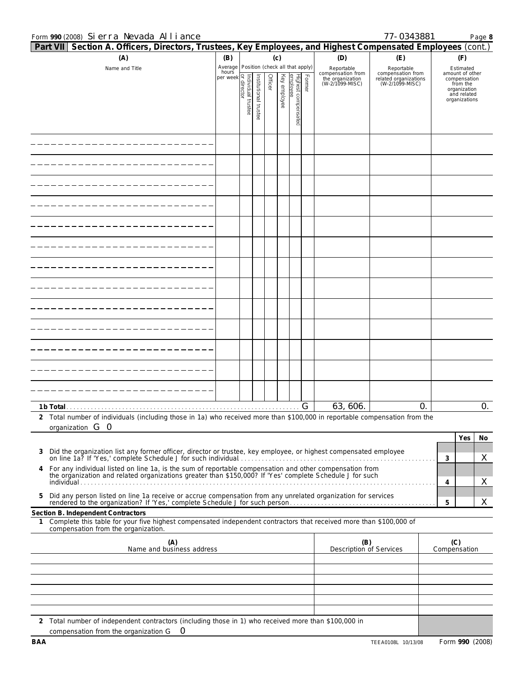## Form **990** (2008) Page **8** Sierra Nevada Alliance 77-0343881

| Section A. Officers, Directors, Trustees, Key Employees, and Highest Compensated Employees (cont.)<br>Part VII                                                                                                           |                                                                                                                                                                                                                                     |                      |         |          |                        |        |                                     |                                          |   |                              |
|--------------------------------------------------------------------------------------------------------------------------------------------------------------------------------------------------------------------------|-------------------------------------------------------------------------------------------------------------------------------------------------------------------------------------------------------------------------------------|----------------------|---------|----------|------------------------|--------|-------------------------------------|------------------------------------------|---|------------------------------|
| (A)                                                                                                                                                                                                                      | (B)                                                                                                                                                                                                                                 |                      | (c)     |          |                        |        | (D)                                 | (E)                                      |   | (F)                          |
| Name and Title                                                                                                                                                                                                           | Average Position (check all that apply)<br>hours                                                                                                                                                                                    |                      |         |          |                        |        | Reportable<br>compensation from     | Reportable<br>compensation from          |   | Estimated<br>amount of other |
|                                                                                                                                                                                                                          | individual trustee<br>of the director<br>of the set of the set of the set of the set of the set of the set of the set of the set of the set of the set of the set of the set of the set of the set of the set of the set of the set | nstitutional trustee | Officer | Ķey      | Highest co<br>employee | Former | the organization<br>(W-2/1099-MISC) | related organizations<br>(W-2/1099-MISC) |   | compensation<br>from the     |
|                                                                                                                                                                                                                          |                                                                                                                                                                                                                                     |                      |         | employee |                        |        |                                     |                                          |   | organization<br>and related  |
|                                                                                                                                                                                                                          |                                                                                                                                                                                                                                     |                      |         |          | compensa               |        |                                     |                                          |   | organizations                |
|                                                                                                                                                                                                                          |                                                                                                                                                                                                                                     |                      |         |          |                        |        |                                     |                                          |   |                              |
|                                                                                                                                                                                                                          |                                                                                                                                                                                                                                     |                      |         |          | g                      |        |                                     |                                          |   |                              |
|                                                                                                                                                                                                                          |                                                                                                                                                                                                                                     |                      |         |          |                        |        |                                     |                                          |   |                              |
|                                                                                                                                                                                                                          |                                                                                                                                                                                                                                     |                      |         |          |                        |        |                                     |                                          |   |                              |
|                                                                                                                                                                                                                          |                                                                                                                                                                                                                                     |                      |         |          |                        |        |                                     |                                          |   |                              |
|                                                                                                                                                                                                                          |                                                                                                                                                                                                                                     |                      |         |          |                        |        |                                     |                                          |   |                              |
|                                                                                                                                                                                                                          |                                                                                                                                                                                                                                     |                      |         |          |                        |        |                                     |                                          |   |                              |
|                                                                                                                                                                                                                          |                                                                                                                                                                                                                                     |                      |         |          |                        |        |                                     |                                          |   |                              |
|                                                                                                                                                                                                                          |                                                                                                                                                                                                                                     |                      |         |          |                        |        |                                     |                                          |   |                              |
|                                                                                                                                                                                                                          |                                                                                                                                                                                                                                     |                      |         |          |                        |        |                                     |                                          |   |                              |
|                                                                                                                                                                                                                          |                                                                                                                                                                                                                                     |                      |         |          |                        |        |                                     |                                          |   |                              |
|                                                                                                                                                                                                                          |                                                                                                                                                                                                                                     |                      |         |          |                        |        |                                     |                                          |   |                              |
|                                                                                                                                                                                                                          |                                                                                                                                                                                                                                     |                      |         |          |                        |        |                                     |                                          |   |                              |
|                                                                                                                                                                                                                          |                                                                                                                                                                                                                                     |                      |         |          |                        |        |                                     |                                          |   |                              |
|                                                                                                                                                                                                                          |                                                                                                                                                                                                                                     |                      |         |          |                        |        |                                     |                                          |   |                              |
|                                                                                                                                                                                                                          |                                                                                                                                                                                                                                     |                      |         |          |                        |        |                                     |                                          |   |                              |
|                                                                                                                                                                                                                          |                                                                                                                                                                                                                                     |                      |         |          |                        |        |                                     |                                          |   |                              |
|                                                                                                                                                                                                                          |                                                                                                                                                                                                                                     |                      |         |          |                        |        |                                     |                                          |   |                              |
|                                                                                                                                                                                                                          |                                                                                                                                                                                                                                     |                      |         |          |                        |        |                                     |                                          |   |                              |
|                                                                                                                                                                                                                          |                                                                                                                                                                                                                                     |                      |         |          |                        |        |                                     |                                          |   |                              |
|                                                                                                                                                                                                                          |                                                                                                                                                                                                                                     |                      |         |          |                        |        |                                     |                                          |   |                              |
|                                                                                                                                                                                                                          |                                                                                                                                                                                                                                     |                      |         |          |                        |        |                                     |                                          |   |                              |
|                                                                                                                                                                                                                          |                                                                                                                                                                                                                                     |                      |         |          |                        |        |                                     |                                          |   |                              |
|                                                                                                                                                                                                                          |                                                                                                                                                                                                                                     |                      |         |          |                        |        |                                     |                                          |   |                              |
|                                                                                                                                                                                                                          |                                                                                                                                                                                                                                     |                      |         |          |                        | G      | 63, 606.                            | 0.                                       |   | 0.                           |
| 1b Total<br>2 Total number of individuals (including those in 1a) who received more than \$100,000 in reportable compensation from the                                                                                   |                                                                                                                                                                                                                                     |                      |         |          |                        |        |                                     |                                          |   |                              |
| organization G 0                                                                                                                                                                                                         |                                                                                                                                                                                                                                     |                      |         |          |                        |        |                                     |                                          |   |                              |
|                                                                                                                                                                                                                          |                                                                                                                                                                                                                                     |                      |         |          |                        |        |                                     |                                          |   | Yes<br>No                    |
| Did the organization list any former officer, director or trustee, key employee, or highest compensated employee<br>3                                                                                                    |                                                                                                                                                                                                                                     |                      |         |          |                        |        |                                     |                                          |   |                              |
|                                                                                                                                                                                                                          |                                                                                                                                                                                                                                     |                      |         |          |                        |        |                                     |                                          | 3 | X                            |
| For any individual listed on line 1a, is the sum of reportable compensation and other compensation from<br>the organization and related organizations greater than \$150,000? If 'Yes' complete Schedule J for such<br>4 |                                                                                                                                                                                                                                     |                      |         |          |                        |        |                                     |                                          |   |                              |
|                                                                                                                                                                                                                          |                                                                                                                                                                                                                                     |                      |         |          |                        |        |                                     |                                          | 4 | X                            |
| Did any person listed on line 1a receive or accrue compensation from any unrelated organization for services<br>5                                                                                                        |                                                                                                                                                                                                                                     |                      |         |          |                        |        |                                     |                                          |   |                              |
| Section B. Independent Contractors                                                                                                                                                                                       |                                                                                                                                                                                                                                     |                      |         |          |                        |        |                                     |                                          | 5 | X                            |
| 1 Complete this table for your five highest compensated independent contractors that received more than \$100,000 of compensation from the organization.                                                                 |                                                                                                                                                                                                                                     |                      |         |          |                        |        |                                     |                                          |   |                              |
|                                                                                                                                                                                                                          |                                                                                                                                                                                                                                     |                      |         |          |                        |        |                                     |                                          |   |                              |
| (A)                                                                                                                                                                                                                      |                                                                                                                                                                                                                                     |                      |         |          |                        |        | (B)                                 |                                          |   | (C)                          |
| Name and business address                                                                                                                                                                                                |                                                                                                                                                                                                                                     |                      |         |          |                        |        | Description of Services             |                                          |   | Compensation                 |
|                                                                                                                                                                                                                          |                                                                                                                                                                                                                                     |                      |         |          |                        |        |                                     |                                          |   |                              |
|                                                                                                                                                                                                                          |                                                                                                                                                                                                                                     |                      |         |          |                        |        |                                     |                                          |   |                              |
|                                                                                                                                                                                                                          |                                                                                                                                                                                                                                     |                      |         |          |                        |        |                                     |                                          |   |                              |
|                                                                                                                                                                                                                          |                                                                                                                                                                                                                                     |                      |         |          |                        |        |                                     |                                          |   |                              |
| 2 Total number of independent contractors (including those in 1) who received more than \$100,000 in                                                                                                                     |                                                                                                                                                                                                                                     |                      |         |          |                        |        |                                     |                                          |   |                              |
| compensation from the organization G<br>0                                                                                                                                                                                |                                                                                                                                                                                                                                     |                      |         |          |                        |        |                                     |                                          |   |                              |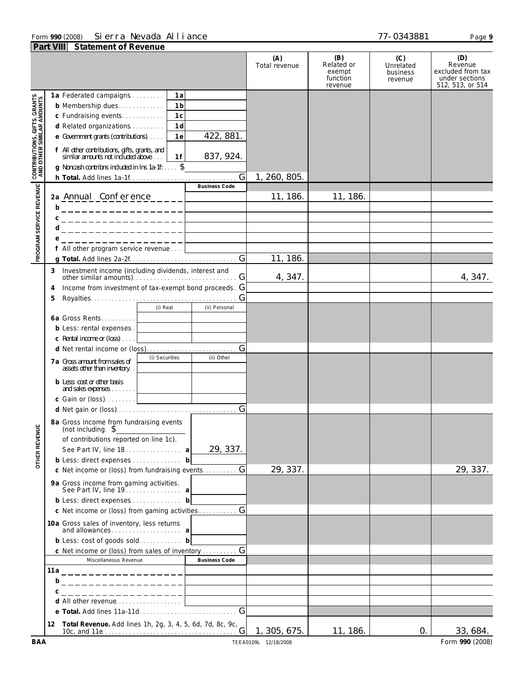#### Form **990** (2008) Page **9** Sierra Nevada Alliance 77-0343881

|                                                                                                                   | <b>Part VIII</b> Statement of Revenue                                                                                                                                                                                                                                                                                                                                                                        |                      |                                                    |                                         |                                                                           |
|-------------------------------------------------------------------------------------------------------------------|--------------------------------------------------------------------------------------------------------------------------------------------------------------------------------------------------------------------------------------------------------------------------------------------------------------------------------------------------------------------------------------------------------------|----------------------|----------------------------------------------------|-----------------------------------------|---------------------------------------------------------------------------|
|                                                                                                                   |                                                                                                                                                                                                                                                                                                                                                                                                              | (A)<br>Total revenue | (B)<br>Related or<br>exempt<br>function<br>revenue | (C)<br>Unrelated<br>business<br>revenue | (D)<br>Revenue<br>excluded from tax<br>under sections<br>512, 513, or 514 |
| <b>PROGRAM SERVICE REVENUE CONTRIBUTIONS, GIFTS, GRANTS<br/>PROGRAM SERVICE REVENUE AND OTHER SIMILAR AMOUNTS</b> | 1 a<br>1a Federated campaigns<br>1 <sub>b</sub><br>b Membership dues<br>1 <sup>c</sup><br>c Fundraising events<br>1 <sub>d</sub><br>d Related organizations<br>422, 881.<br>e Government grants (contributions).<br>1e<br>f All other contributions, gifts, grants, and<br>similar amounts not included above<br>837, 924.<br>1f<br>g Noncash contribns included in Ins 1a-1f: $\ldots$ $\overline{\$}$<br>G | 1, 260, 805.         |                                                    |                                         |                                                                           |
|                                                                                                                   | <b>Business Code</b><br>2a Annual Conference _____<br>b<br>С<br>___________________                                                                                                                                                                                                                                                                                                                          | 11, 186.             | 11, 186.                                           |                                         |                                                                           |
|                                                                                                                   | d<br>_________________ <br>________________<br>f All other program service revenue                                                                                                                                                                                                                                                                                                                           | 11, 186.             |                                                    |                                         |                                                                           |
|                                                                                                                   | Investment income (including dividends, interest and<br>3<br>G<br>Income from investment of tax-exempt bond proceeds. G<br>4<br>5<br>(i) Real<br>(ii) Personal                                                                                                                                                                                                                                               | 4, 347.              |                                                    |                                         | 4, 347.                                                                   |
|                                                                                                                   | 6a Gross Rents<br>b Less: rental expenses.<br>c Rental income or (loss)                                                                                                                                                                                                                                                                                                                                      |                      |                                                    |                                         |                                                                           |
|                                                                                                                   | (i) Securities<br>(ii) Other<br>7a Gross amount from sales of<br>assets other than inventory.<br>b Less: cost or other basis<br>and sales expenses <u>  _ _ _ _ _ _ _ _ _ _ _</u>                                                                                                                                                                                                                            |                      |                                                    |                                         |                                                                           |
| ш                                                                                                                 | 8a Gross income from fundraising events                                                                                                                                                                                                                                                                                                                                                                      |                      |                                                    |                                         |                                                                           |
| OTHER REVENU                                                                                                      | (not including $\ddagger$<br>of contributions reported on line 1c).<br>29, 337.<br>See Part IV, line 18. a<br>b Less: direct expenses  b                                                                                                                                                                                                                                                                     |                      |                                                    |                                         |                                                                           |
|                                                                                                                   | G<br>c Net income or (loss) from fundraising events<br>9a Gross income from gaming activities.<br>See Part IV, line 19. a<br>b Less: direct expenses  b                                                                                                                                                                                                                                                      | 29, 337.             |                                                    |                                         | 29, 337.                                                                  |
|                                                                                                                   | c Net income or (loss) from gaming activities G<br>10a Gross sales of inventory, less returns<br>b Less: cost of goods sold b                                                                                                                                                                                                                                                                                |                      |                                                    |                                         |                                                                           |
|                                                                                                                   | c Net income or (loss) from sales of inventory<br>Miscellaneous Revenue<br><b>Business Code</b><br><u>b___________________</u>                                                                                                                                                                                                                                                                               |                      |                                                    |                                         |                                                                           |
|                                                                                                                   | С<br>_________________<br>d All other revenue                                                                                                                                                                                                                                                                                                                                                                |                      |                                                    |                                         |                                                                           |
|                                                                                                                   | Total Revenue. Add lines 1h, 2g, 3, 4, 5, 6d, 7d, 8c, 9c,<br>12                                                                                                                                                                                                                                                                                                                                              | 1, 305, 675.         | 11, 186.                                           | $\mathbf{0}$ .                          | 33, 684.                                                                  |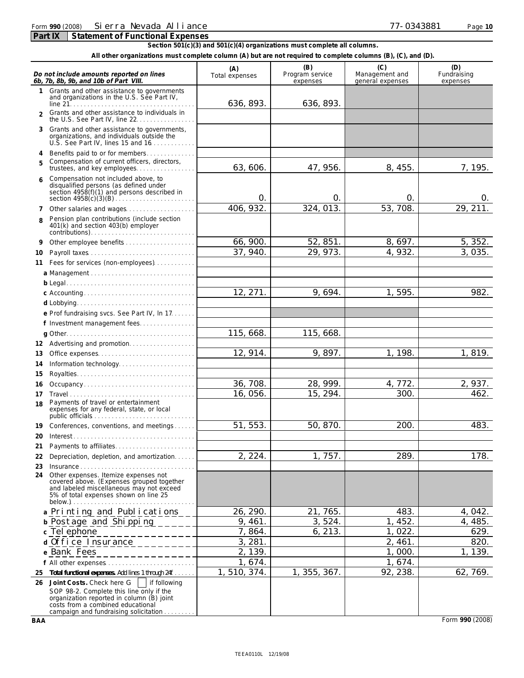## Form **990** (2008) Page **10** Sierra Nevada Alliance 77-0343881

**Section 501(c)(3) and 501(c)(4) organizations must complete all columns.**

**All other organizations must complete column (A) but are not required to complete columns (B), (C), and (D).**

| Do not include amounts reported on lines<br>6b, 7b, 8b, 9b, and 10b of Part VIII.                                                                                                                                      | (A)<br>Total expenses | (B)<br>Program service<br>expenses | (C)<br>Management and<br>general expenses | (D)<br>Fundraising<br>expenses |
|------------------------------------------------------------------------------------------------------------------------------------------------------------------------------------------------------------------------|-----------------------|------------------------------------|-------------------------------------------|--------------------------------|
| Grants and other assistance to governments<br>and organizations in the U.S. See Part IV,                                                                                                                               | 636, 893.             | 636, 893.                          |                                           |                                |
| Grants and other assistance to individuals in<br>the U.S. See Part IV, line 22.                                                                                                                                        |                       |                                    |                                           |                                |
| Grants and other assistance to governments,<br>3<br>organizations, and individuals outside the<br>U.S. See Part IV, lines 15 and $16$                                                                                  |                       |                                    |                                           |                                |
| Benefits paid to or for members<br>4                                                                                                                                                                                   |                       |                                    |                                           |                                |
| Compensation of current officers, directors,<br>5<br>trustees, and key employees                                                                                                                                       | 63, 606.              | 47, 956.                           | 8, 455.                                   | 7, 195.                        |
| Compensation not included above, to<br>disqualified persons (as defined under<br>section 4958(f)(1) and persons described in                                                                                           | 0.                    | 0.                                 | 0.                                        | O.                             |
| Other salaries and wages<br>7                                                                                                                                                                                          | 406, 932.             | 324, 013.                          | 53, 708.                                  | 29, 211.                       |
| Pension plan contributions (include section<br>$\mathsf{R}$<br>401(k) and section 403(b) employer                                                                                                                      |                       |                                    |                                           |                                |
| 9                                                                                                                                                                                                                      | 66, 900.              | 52, 851.                           | 8,697.                                    | 5, 352.                        |
| 10                                                                                                                                                                                                                     | 37, 940.              | 29, 973.                           | 4,932.                                    | 3,035.                         |
| 11 Fees for services (non-employees).                                                                                                                                                                                  |                       |                                    |                                           |                                |
| a Management                                                                                                                                                                                                           |                       |                                    |                                           |                                |
|                                                                                                                                                                                                                        |                       |                                    |                                           |                                |
|                                                                                                                                                                                                                        | 12, 271.              | 9,694.                             | 1,595.                                    | 982.                           |
|                                                                                                                                                                                                                        |                       |                                    |                                           |                                |
| e Prof fundraising svcs. See Part IV, In 17.                                                                                                                                                                           |                       |                                    |                                           |                                |
| f Investment management fees                                                                                                                                                                                           |                       |                                    |                                           |                                |
|                                                                                                                                                                                                                        | 115, 668.             | 115, 668.                          |                                           |                                |
| Advertising and promotion.<br>12                                                                                                                                                                                       |                       |                                    |                                           |                                |
| 13<br>Office expenses                                                                                                                                                                                                  | 12, 914.              | 9,897.                             | 1, 198.                                   | 1,819.                         |
| Information technology<br>14                                                                                                                                                                                           |                       |                                    |                                           |                                |
| 15                                                                                                                                                                                                                     |                       |                                    |                                           |                                |
| Occupancy<br>16                                                                                                                                                                                                        | 36, 708.              | 28, 999.                           | 4,772.                                    | 2,937.                         |
| 17                                                                                                                                                                                                                     | 16,056.               | 15, 294.                           | 300.                                      | 462.                           |
| Payments of travel or entertainment<br>18<br>expenses for any federal, state, or local                                                                                                                                 |                       |                                    |                                           |                                |
| Conferences, conventions, and meetings<br>19                                                                                                                                                                           | 51, 553.              | 50, 870.                           | 200.                                      | 483.                           |
| 20                                                                                                                                                                                                                     |                       |                                    |                                           |                                |
| Payments to affiliates<br>21.                                                                                                                                                                                          |                       |                                    |                                           |                                |
| Depreciation, depletion, and amortization<br>22                                                                                                                                                                        | 2, 224.               | 1,757.                             | 289.                                      | 178.                           |
| Insurance<br>23                                                                                                                                                                                                        |                       |                                    |                                           |                                |
| Other expenses. Itemize expenses not<br>24<br>covered above. (Expenses grouped together<br>and labeled miscellaneous may not exceed<br>5% of total expenses shown on line 25<br>$below.$ )                             |                       |                                    |                                           |                                |
| a Printing and Publications                                                                                                                                                                                            | 26, 290.              | 21, 765.                           | 483.                                      | 4,042.                         |
| b Postage and Shipping                                                                                                                                                                                                 | 9, 461.               | 3,524.                             | 1, 452.                                   | 4, 485.                        |
| c Tel ephone                                                                                                                                                                                                           | $\overline{7}$ , 864. | 6, 213.                            | 1,022.                                    | 629.                           |
| d Office Insurance                                                                                                                                                                                                     | 3,281.                |                                    | 2,461.                                    | 820.                           |
| e Bank Fees                                                                                                                                                                                                            | 2, 139.               |                                    | 1,000.                                    | 1, 139.                        |
| f All other expenses                                                                                                                                                                                                   | 1,674.                |                                    | 1,674.                                    |                                |
| Total functional expenses. Add lines 1 through 24f.<br>25                                                                                                                                                              | 1, 510, 374.          | 1, 355, 367.                       | 92, 238.                                  | 62, 769.                       |
| Joint Costs. Check here G<br>if following<br>26<br>SOP 98-2. Complete this line only if the<br>organization reported in column (B) joint<br>costs from a combined educational<br>campaign and fundraising solicitation |                       |                                    |                                           |                                |

**BAA** Form **990** (2008)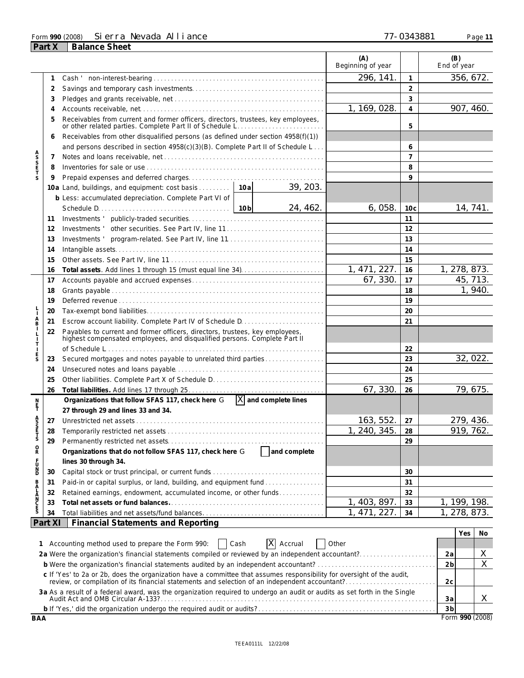## Form **990** (2008) Page **11** Sierra Nevada Alliance 77-0343881

**Part X Balance Sheet** 

|                       |               |                                                                                                                                                                             |  |              | (A)<br>Beginning of year |                     | (B)<br>End of year |           |                 |
|-----------------------|---------------|-----------------------------------------------------------------------------------------------------------------------------------------------------------------------------|--|--------------|--------------------------|---------------------|--------------------|-----------|-----------------|
|                       | 1             |                                                                                                                                                                             |  |              | 296, 141.                | $\mathbf{1}$        |                    |           | 356, 672.       |
|                       | 2             |                                                                                                                                                                             |  |              |                          | $\overline{2}$      |                    |           |                 |
|                       | 3             |                                                                                                                                                                             |  | 3            |                          |                     |                    |           |                 |
|                       |               |                                                                                                                                                                             |  |              | 1, 169, 028.             | $\overline{4}$      |                    | 907, 460. |                 |
|                       | 5             | Receivables from current and former officers, directors, trustees, key employees,                                                                                           |  |              |                          | 5                   |                    |           |                 |
|                       | 6             |                                                                                                                                                                             |  |              |                          |                     |                    |           |                 |
|                       |               | Receivables from other disqualified persons (as defined under section 4958(f)(1))<br>and persons described in section $4958(c)(3)(B)$ . Complete Part II of Schedule L<br>6 |  |              |                          |                     |                    |           |                 |
|                       | 7             |                                                                                                                                                                             |  |              |                          |                     |                    |           |                 |
| A<br>S<br>S<br>E<br>T | 8             |                                                                                                                                                                             |  |              |                          | $\overline{7}$<br>8 |                    |           |                 |
| S                     | 9             |                                                                                                                                                                             |  |              |                          | $\mathsf{Q}$        |                    |           |                 |
|                       |               | 10a Land, buildings, and equipment: cost basis 10a                                                                                                                          |  | 39, 203.     |                          |                     |                    |           |                 |
|                       |               | b Less: accumulated depreciation. Complete Part VI of                                                                                                                       |  |              |                          |                     |                    |           |                 |
|                       |               |                                                                                                                                                                             |  | 24, 462.     | 6,058.                   | 10 <sub>c</sub>     |                    |           | 14, 741.        |
|                       | 11            |                                                                                                                                                                             |  |              |                          | 11                  |                    |           |                 |
|                       | 12            | Investments ' other securities. See Part IV, line 11                                                                                                                        |  |              |                          | 12                  |                    |           |                 |
|                       | 13            |                                                                                                                                                                             |  |              |                          | 13                  |                    |           |                 |
|                       | 14            |                                                                                                                                                                             |  |              |                          | 14                  |                    |           |                 |
|                       | 15            |                                                                                                                                                                             |  |              |                          | 15                  |                    |           |                 |
|                       | 16            | Total assets. Add lines 1 through 15 (must equal line 34)                                                                                                                   |  |              | 1, 471, 227.             | 16                  | 1, 278, 873.       |           |                 |
|                       | 17            |                                                                                                                                                                             |  |              | 67, 330.                 | 17                  |                    | 45, 713.  |                 |
|                       | 18            |                                                                                                                                                                             |  |              |                          | 18                  |                    |           | 1, 940.         |
|                       | 19            |                                                                                                                                                                             |  |              |                          | 19                  |                    |           |                 |
|                       | 20            |                                                                                                                                                                             |  |              |                          | 20                  |                    |           |                 |
| A<br>B                | 21            | 21                                                                                                                                                                          |  |              |                          |                     |                    |           |                 |
|                       | 22            |                                                                                                                                                                             |  |              |                          |                     |                    |           |                 |
|                       |               | Payables to current and former officers, directors, trustees, key employees, highest compensated employees, and disqualified persons. Complete Part II                      |  |              |                          |                     |                    |           |                 |
|                       |               |                                                                                                                                                                             |  |              |                          | 22                  |                    |           |                 |
| $_{\rm S}^{\rm E}$    | 23            | Secured mortgages and notes payable to unrelated third parties                                                                                                              |  |              |                          | 23                  |                    |           | 32, 022.        |
|                       | 24            |                                                                                                                                                                             |  |              |                          | 24                  |                    |           |                 |
|                       | 25            |                                                                                                                                                                             |  |              |                          | 25                  |                    |           |                 |
|                       | 26            |                                                                                                                                                                             |  |              | 67,330                   | 26                  |                    | 79, 675.  |                 |
| n<br>F                |               | Organizations that follow SFAS 117, check here $G$ $\overline{X}$ and complete lines                                                                                        |  |              |                          |                     |                    |           |                 |
|                       |               | 27 through 29 and lines 33 and 34.                                                                                                                                          |  |              |                          |                     |                    |           |                 |
| ASSE                  | 27            |                                                                                                                                                                             |  |              | 163, 552.                | 27                  |                    | 279, 436. |                 |
|                       | 28            |                                                                                                                                                                             |  |              | 1, 240, 345.             | 28                  |                    |           | 919, 762.       |
| Ś                     | 29            |                                                                                                                                                                             |  |              |                          | 29                  |                    |           |                 |
| $_{\rm R}^{\rm O}$    |               | Organizations that do not follow SFAS 117, check here G                                                                                                                     |  | and complete |                          |                     |                    |           |                 |
| Ū                     |               | lines 30 through 34.                                                                                                                                                        |  |              |                          |                     |                    |           |                 |
| B                     | 30            |                                                                                                                                                                             |  |              |                          | 30                  |                    |           |                 |
|                       | 31            | Paid-in or capital surplus, or land, building, and equipment fund                                                                                                           |  |              |                          | 31                  |                    |           |                 |
|                       | 32            | Retained earnings, endowment, accumulated income, or other funds                                                                                                            |  |              |                          | 32                  |                    |           |                 |
| BALANCES              | 33            |                                                                                                                                                                             |  |              | 1, 403, 897.             | 33                  | 1, 199, 198.       |           |                 |
|                       | 34<br>Part XI |                                                                                                                                                                             |  |              | 1, 471<br>, 227          | 34                  | 1, 278, 873.       |           |                 |
|                       |               | <b>Financial Statements and Reporting</b>                                                                                                                                   |  |              |                          |                     |                    |           |                 |
|                       |               |                                                                                                                                                                             |  | X            |                          |                     |                    | Yes       | No.             |
| 1.                    |               | Accounting method used to prepare the Form 990:<br>  Cash<br>2a Were the organization's financial statements compiled or reviewed by an independent accountant?             |  | Accrual      | Other                    |                     | 2a                 |           | Χ               |
|                       |               | b Were the organization's financial statements audited by an independent accountant?                                                                                        |  |              |                          |                     | 2 <sub>b</sub>     |           | X               |
|                       |               | c If 'Yes' to 2a or 2b, does the organization have a committee that assumes responsibility for oversight of the audit,                                                      |  |              |                          |                     |                    |           |                 |
|                       |               | review, or compilation of its financial statements and selection of an independent accountant?                                                                              |  |              |                          |                     | 2c                 |           |                 |
|                       |               | 3a As a result of a federal award, was the organization required to undergo an audit or audits as set forth in the Single                                                   |  |              |                          |                     |                    |           |                 |
|                       |               |                                                                                                                                                                             |  |              |                          |                     | 3a                 |           | X               |
| BAA                   |               |                                                                                                                                                                             |  |              |                          |                     | 3 <sub>b</sub>     |           | Form 990 (2008) |
|                       |               |                                                                                                                                                                             |  |              |                          |                     |                    |           |                 |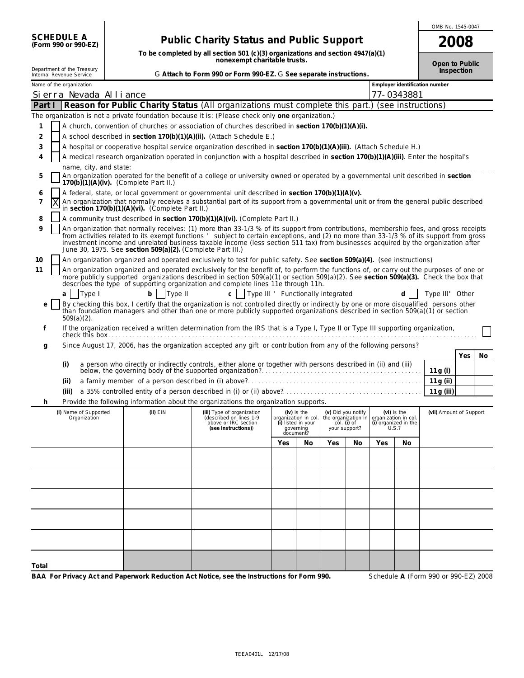| <b>SCHEDULE A</b><br><b>Public Charity Status and Public Support</b><br>2008<br>(Form 990 or 990-EZ)<br>To be completed by all section 501 (c)(3) organizations and section 4947(a)(1)<br>nonexempt charitable trusts.<br>Open to Public<br>Department of the Treasury<br>Internal Revenue Service<br>Inspection<br>G Attach to Form 990 or Form 990-EZ. G See separate instructions.<br>Employer identification number<br>Name of the organization<br>Si erra Nevada Alliance<br>77-0343881<br>Reason for Public Charity Status (All organizations must complete this part.)<br>Part I<br>(see instructions)<br>The organization is not a private foundation because it is: (Please check only one organization.)<br>A church, convention of churches or association of churches described in section 170(b)(1)(A)(i).<br>1<br>A school described in section 170(b)(1)(A)(ii). (Attach Schedule E.)<br>2<br>A hospital or cooperative hospital service organization described in section 170(b)(1)(A)(iii). (Attach Schedule H.)<br>3<br>A medical research organization operated in conjunction with a hospital described in section 170(b)(1)(A)(iii). Enter the hospital's<br>4<br>name, city, and state:<br>An organization operated for the benefit of a college or university owned or operated by a governmental unit described in section<br>5<br>$170(b)(1)(A)(iv)$ . (Complete Part II.)<br>A federal, state, or local government or governmental unit described in section 170(b)(1)(A)(v).<br>6<br>An organization that normally receives a substantial part of its support from a governmental unit or from the general public described<br>7<br>Χ<br>in section 170(b)(1)(A)(vi). (Complete Part II.)<br>8<br>A community trust described in section 170(b)(1)(A)(vi). (Complete Part II.)<br>An organization that normally receives: (1) more than 33-1/3 % of its support from contributions, membership fees, and gross receipts<br>9<br>from activities related to its exempt functions 'subject to certain exceptions, and (2) no more than 33-1/3 % of its support from gross<br>investment income and unrelated business taxable income (less section 511 tax) from businesses acquired by the organization after<br>June 30, 1975. See section 509(a)(2). (Complete Part III.)<br>An organization organized and operated exclusively to test for public safety. See section 509(a)(4). (see instructions)<br>10<br>An organization organized and operated exclusively for the benefit of, to perform the functions of, or carry out the purposes of one or<br>11<br>more publicly supported organizations described in section $509(a)(1)$ or section $509(a)(2)$ . See section $509(a)(3)$ . Check the box that<br>describes the type of supporting organization and complete lines 11e through 11h.<br>Type I<br>b<br>Type II<br>Type III ' Functionally integrated<br>C<br>Type III' Other<br>a<br>By checking this box, I certify that the organization is not controlled directly or indirectly by one or more disqualified persons other<br>е<br>than foundation managers and other than one or more publicly supported organizations described in section 509(a)(1) or section<br>$509(a)(2)$ .<br>If the organization received a written determination from the IRS that is a Type I, Type II or Type III supporting organization,<br>f<br>Since August 17, 2006, has the organization accepted any gift or contribution from any of the following persons?<br>g<br>Yes<br>No<br>(i)<br>a person who directly or indirectly controls, either alone or together with persons described in (ii) and (iii)<br>below, the governing body of the supported organization?<br>11 $g(i)$<br>(ii)<br>11 g (ii)<br>(iii)<br>11g(iii)<br>Provide the following information about the organizations the organization supports.<br>h<br>(ii) EIN<br>(i) Name of Supported<br>(iii) Type of organization<br>(v) Did you notify<br>(vi) Is the<br>(vii) Amount of Support<br>$(iv)$ Is the<br>Organization<br>(described on lines 1-9<br>organization in col.<br>the organization in<br>organization in col.<br>above or IRC section<br>(i) listed in your<br>col. (i) of<br>(i) organized in the<br>(see instructions))<br>qoverning<br>U.S.?<br>your support?<br>document?<br>Yes<br>Yes<br>No<br>Yes<br>No<br>No<br>Total |  |  |  |  |  |  |  |  | OMB No. 1545-0047 |  |
|----------------------------------------------------------------------------------------------------------------------------------------------------------------------------------------------------------------------------------------------------------------------------------------------------------------------------------------------------------------------------------------------------------------------------------------------------------------------------------------------------------------------------------------------------------------------------------------------------------------------------------------------------------------------------------------------------------------------------------------------------------------------------------------------------------------------------------------------------------------------------------------------------------------------------------------------------------------------------------------------------------------------------------------------------------------------------------------------------------------------------------------------------------------------------------------------------------------------------------------------------------------------------------------------------------------------------------------------------------------------------------------------------------------------------------------------------------------------------------------------------------------------------------------------------------------------------------------------------------------------------------------------------------------------------------------------------------------------------------------------------------------------------------------------------------------------------------------------------------------------------------------------------------------------------------------------------------------------------------------------------------------------------------------------------------------------------------------------------------------------------------------------------------------------------------------------------------------------------------------------------------------------------------------------------------------------------------------------------------------------------------------------------------------------------------------------------------------------------------------------------------------------------------------------------------------------------------------------------------------------------------------------------------------------------------------------------------------------------------------------------------------------------------------------------------------------------------------------------------------------------------------------------------------------------------------------------------------------------------------------------------------------------------------------------------------------------------------------------------------------------------------------------------------------------------------------------------------------------------------------------------------------------------------------------------------------------------------------------------------------------------------------------------------------------------------------------------------------------------------------------------------------------------------------------------------------------------------------------------------------------------------------------------------------------------------------------------------------------------------------------------------------------------------------------------------------------------------------------------------------------------------------------------------------------------------------------------------------------------------------------------------------------------------------------------------------------------------------------------------------------------------------------------------------------------------------------------------------------------------------------------------------------------------------------------------------------------------------|--|--|--|--|--|--|--|--|-------------------|--|
|                                                                                                                                                                                                                                                                                                                                                                                                                                                                                                                                                                                                                                                                                                                                                                                                                                                                                                                                                                                                                                                                                                                                                                                                                                                                                                                                                                                                                                                                                                                                                                                                                                                                                                                                                                                                                                                                                                                                                                                                                                                                                                                                                                                                                                                                                                                                                                                                                                                                                                                                                                                                                                                                                                                                                                                                                                                                                                                                                                                                                                                                                                                                                                                                                                                                                                                                                                                                                                                                                                                                                                                                                                                                                                                                                                                                                                                                                                                                                                                                                                                                                                                                                                                                                                                                                                                                              |  |  |  |  |  |  |  |  |                   |  |
|                                                                                                                                                                                                                                                                                                                                                                                                                                                                                                                                                                                                                                                                                                                                                                                                                                                                                                                                                                                                                                                                                                                                                                                                                                                                                                                                                                                                                                                                                                                                                                                                                                                                                                                                                                                                                                                                                                                                                                                                                                                                                                                                                                                                                                                                                                                                                                                                                                                                                                                                                                                                                                                                                                                                                                                                                                                                                                                                                                                                                                                                                                                                                                                                                                                                                                                                                                                                                                                                                                                                                                                                                                                                                                                                                                                                                                                                                                                                                                                                                                                                                                                                                                                                                                                                                                                                              |  |  |  |  |  |  |  |  |                   |  |
|                                                                                                                                                                                                                                                                                                                                                                                                                                                                                                                                                                                                                                                                                                                                                                                                                                                                                                                                                                                                                                                                                                                                                                                                                                                                                                                                                                                                                                                                                                                                                                                                                                                                                                                                                                                                                                                                                                                                                                                                                                                                                                                                                                                                                                                                                                                                                                                                                                                                                                                                                                                                                                                                                                                                                                                                                                                                                                                                                                                                                                                                                                                                                                                                                                                                                                                                                                                                                                                                                                                                                                                                                                                                                                                                                                                                                                                                                                                                                                                                                                                                                                                                                                                                                                                                                                                                              |  |  |  |  |  |  |  |  |                   |  |
|                                                                                                                                                                                                                                                                                                                                                                                                                                                                                                                                                                                                                                                                                                                                                                                                                                                                                                                                                                                                                                                                                                                                                                                                                                                                                                                                                                                                                                                                                                                                                                                                                                                                                                                                                                                                                                                                                                                                                                                                                                                                                                                                                                                                                                                                                                                                                                                                                                                                                                                                                                                                                                                                                                                                                                                                                                                                                                                                                                                                                                                                                                                                                                                                                                                                                                                                                                                                                                                                                                                                                                                                                                                                                                                                                                                                                                                                                                                                                                                                                                                                                                                                                                                                                                                                                                                                              |  |  |  |  |  |  |  |  |                   |  |
|                                                                                                                                                                                                                                                                                                                                                                                                                                                                                                                                                                                                                                                                                                                                                                                                                                                                                                                                                                                                                                                                                                                                                                                                                                                                                                                                                                                                                                                                                                                                                                                                                                                                                                                                                                                                                                                                                                                                                                                                                                                                                                                                                                                                                                                                                                                                                                                                                                                                                                                                                                                                                                                                                                                                                                                                                                                                                                                                                                                                                                                                                                                                                                                                                                                                                                                                                                                                                                                                                                                                                                                                                                                                                                                                                                                                                                                                                                                                                                                                                                                                                                                                                                                                                                                                                                                                              |  |  |  |  |  |  |  |  |                   |  |
|                                                                                                                                                                                                                                                                                                                                                                                                                                                                                                                                                                                                                                                                                                                                                                                                                                                                                                                                                                                                                                                                                                                                                                                                                                                                                                                                                                                                                                                                                                                                                                                                                                                                                                                                                                                                                                                                                                                                                                                                                                                                                                                                                                                                                                                                                                                                                                                                                                                                                                                                                                                                                                                                                                                                                                                                                                                                                                                                                                                                                                                                                                                                                                                                                                                                                                                                                                                                                                                                                                                                                                                                                                                                                                                                                                                                                                                                                                                                                                                                                                                                                                                                                                                                                                                                                                                                              |  |  |  |  |  |  |  |  |                   |  |
|                                                                                                                                                                                                                                                                                                                                                                                                                                                                                                                                                                                                                                                                                                                                                                                                                                                                                                                                                                                                                                                                                                                                                                                                                                                                                                                                                                                                                                                                                                                                                                                                                                                                                                                                                                                                                                                                                                                                                                                                                                                                                                                                                                                                                                                                                                                                                                                                                                                                                                                                                                                                                                                                                                                                                                                                                                                                                                                                                                                                                                                                                                                                                                                                                                                                                                                                                                                                                                                                                                                                                                                                                                                                                                                                                                                                                                                                                                                                                                                                                                                                                                                                                                                                                                                                                                                                              |  |  |  |  |  |  |  |  |                   |  |
|                                                                                                                                                                                                                                                                                                                                                                                                                                                                                                                                                                                                                                                                                                                                                                                                                                                                                                                                                                                                                                                                                                                                                                                                                                                                                                                                                                                                                                                                                                                                                                                                                                                                                                                                                                                                                                                                                                                                                                                                                                                                                                                                                                                                                                                                                                                                                                                                                                                                                                                                                                                                                                                                                                                                                                                                                                                                                                                                                                                                                                                                                                                                                                                                                                                                                                                                                                                                                                                                                                                                                                                                                                                                                                                                                                                                                                                                                                                                                                                                                                                                                                                                                                                                                                                                                                                                              |  |  |  |  |  |  |  |  |                   |  |
|                                                                                                                                                                                                                                                                                                                                                                                                                                                                                                                                                                                                                                                                                                                                                                                                                                                                                                                                                                                                                                                                                                                                                                                                                                                                                                                                                                                                                                                                                                                                                                                                                                                                                                                                                                                                                                                                                                                                                                                                                                                                                                                                                                                                                                                                                                                                                                                                                                                                                                                                                                                                                                                                                                                                                                                                                                                                                                                                                                                                                                                                                                                                                                                                                                                                                                                                                                                                                                                                                                                                                                                                                                                                                                                                                                                                                                                                                                                                                                                                                                                                                                                                                                                                                                                                                                                                              |  |  |  |  |  |  |  |  |                   |  |
|                                                                                                                                                                                                                                                                                                                                                                                                                                                                                                                                                                                                                                                                                                                                                                                                                                                                                                                                                                                                                                                                                                                                                                                                                                                                                                                                                                                                                                                                                                                                                                                                                                                                                                                                                                                                                                                                                                                                                                                                                                                                                                                                                                                                                                                                                                                                                                                                                                                                                                                                                                                                                                                                                                                                                                                                                                                                                                                                                                                                                                                                                                                                                                                                                                                                                                                                                                                                                                                                                                                                                                                                                                                                                                                                                                                                                                                                                                                                                                                                                                                                                                                                                                                                                                                                                                                                              |  |  |  |  |  |  |  |  |                   |  |
|                                                                                                                                                                                                                                                                                                                                                                                                                                                                                                                                                                                                                                                                                                                                                                                                                                                                                                                                                                                                                                                                                                                                                                                                                                                                                                                                                                                                                                                                                                                                                                                                                                                                                                                                                                                                                                                                                                                                                                                                                                                                                                                                                                                                                                                                                                                                                                                                                                                                                                                                                                                                                                                                                                                                                                                                                                                                                                                                                                                                                                                                                                                                                                                                                                                                                                                                                                                                                                                                                                                                                                                                                                                                                                                                                                                                                                                                                                                                                                                                                                                                                                                                                                                                                                                                                                                                              |  |  |  |  |  |  |  |  |                   |  |
|                                                                                                                                                                                                                                                                                                                                                                                                                                                                                                                                                                                                                                                                                                                                                                                                                                                                                                                                                                                                                                                                                                                                                                                                                                                                                                                                                                                                                                                                                                                                                                                                                                                                                                                                                                                                                                                                                                                                                                                                                                                                                                                                                                                                                                                                                                                                                                                                                                                                                                                                                                                                                                                                                                                                                                                                                                                                                                                                                                                                                                                                                                                                                                                                                                                                                                                                                                                                                                                                                                                                                                                                                                                                                                                                                                                                                                                                                                                                                                                                                                                                                                                                                                                                                                                                                                                                              |  |  |  |  |  |  |  |  |                   |  |
|                                                                                                                                                                                                                                                                                                                                                                                                                                                                                                                                                                                                                                                                                                                                                                                                                                                                                                                                                                                                                                                                                                                                                                                                                                                                                                                                                                                                                                                                                                                                                                                                                                                                                                                                                                                                                                                                                                                                                                                                                                                                                                                                                                                                                                                                                                                                                                                                                                                                                                                                                                                                                                                                                                                                                                                                                                                                                                                                                                                                                                                                                                                                                                                                                                                                                                                                                                                                                                                                                                                                                                                                                                                                                                                                                                                                                                                                                                                                                                                                                                                                                                                                                                                                                                                                                                                                              |  |  |  |  |  |  |  |  |                   |  |
|                                                                                                                                                                                                                                                                                                                                                                                                                                                                                                                                                                                                                                                                                                                                                                                                                                                                                                                                                                                                                                                                                                                                                                                                                                                                                                                                                                                                                                                                                                                                                                                                                                                                                                                                                                                                                                                                                                                                                                                                                                                                                                                                                                                                                                                                                                                                                                                                                                                                                                                                                                                                                                                                                                                                                                                                                                                                                                                                                                                                                                                                                                                                                                                                                                                                                                                                                                                                                                                                                                                                                                                                                                                                                                                                                                                                                                                                                                                                                                                                                                                                                                                                                                                                                                                                                                                                              |  |  |  |  |  |  |  |  |                   |  |
|                                                                                                                                                                                                                                                                                                                                                                                                                                                                                                                                                                                                                                                                                                                                                                                                                                                                                                                                                                                                                                                                                                                                                                                                                                                                                                                                                                                                                                                                                                                                                                                                                                                                                                                                                                                                                                                                                                                                                                                                                                                                                                                                                                                                                                                                                                                                                                                                                                                                                                                                                                                                                                                                                                                                                                                                                                                                                                                                                                                                                                                                                                                                                                                                                                                                                                                                                                                                                                                                                                                                                                                                                                                                                                                                                                                                                                                                                                                                                                                                                                                                                                                                                                                                                                                                                                                                              |  |  |  |  |  |  |  |  |                   |  |
|                                                                                                                                                                                                                                                                                                                                                                                                                                                                                                                                                                                                                                                                                                                                                                                                                                                                                                                                                                                                                                                                                                                                                                                                                                                                                                                                                                                                                                                                                                                                                                                                                                                                                                                                                                                                                                                                                                                                                                                                                                                                                                                                                                                                                                                                                                                                                                                                                                                                                                                                                                                                                                                                                                                                                                                                                                                                                                                                                                                                                                                                                                                                                                                                                                                                                                                                                                                                                                                                                                                                                                                                                                                                                                                                                                                                                                                                                                                                                                                                                                                                                                                                                                                                                                                                                                                                              |  |  |  |  |  |  |  |  |                   |  |
|                                                                                                                                                                                                                                                                                                                                                                                                                                                                                                                                                                                                                                                                                                                                                                                                                                                                                                                                                                                                                                                                                                                                                                                                                                                                                                                                                                                                                                                                                                                                                                                                                                                                                                                                                                                                                                                                                                                                                                                                                                                                                                                                                                                                                                                                                                                                                                                                                                                                                                                                                                                                                                                                                                                                                                                                                                                                                                                                                                                                                                                                                                                                                                                                                                                                                                                                                                                                                                                                                                                                                                                                                                                                                                                                                                                                                                                                                                                                                                                                                                                                                                                                                                                                                                                                                                                                              |  |  |  |  |  |  |  |  |                   |  |
|                                                                                                                                                                                                                                                                                                                                                                                                                                                                                                                                                                                                                                                                                                                                                                                                                                                                                                                                                                                                                                                                                                                                                                                                                                                                                                                                                                                                                                                                                                                                                                                                                                                                                                                                                                                                                                                                                                                                                                                                                                                                                                                                                                                                                                                                                                                                                                                                                                                                                                                                                                                                                                                                                                                                                                                                                                                                                                                                                                                                                                                                                                                                                                                                                                                                                                                                                                                                                                                                                                                                                                                                                                                                                                                                                                                                                                                                                                                                                                                                                                                                                                                                                                                                                                                                                                                                              |  |  |  |  |  |  |  |  |                   |  |
|                                                                                                                                                                                                                                                                                                                                                                                                                                                                                                                                                                                                                                                                                                                                                                                                                                                                                                                                                                                                                                                                                                                                                                                                                                                                                                                                                                                                                                                                                                                                                                                                                                                                                                                                                                                                                                                                                                                                                                                                                                                                                                                                                                                                                                                                                                                                                                                                                                                                                                                                                                                                                                                                                                                                                                                                                                                                                                                                                                                                                                                                                                                                                                                                                                                                                                                                                                                                                                                                                                                                                                                                                                                                                                                                                                                                                                                                                                                                                                                                                                                                                                                                                                                                                                                                                                                                              |  |  |  |  |  |  |  |  |                   |  |
|                                                                                                                                                                                                                                                                                                                                                                                                                                                                                                                                                                                                                                                                                                                                                                                                                                                                                                                                                                                                                                                                                                                                                                                                                                                                                                                                                                                                                                                                                                                                                                                                                                                                                                                                                                                                                                                                                                                                                                                                                                                                                                                                                                                                                                                                                                                                                                                                                                                                                                                                                                                                                                                                                                                                                                                                                                                                                                                                                                                                                                                                                                                                                                                                                                                                                                                                                                                                                                                                                                                                                                                                                                                                                                                                                                                                                                                                                                                                                                                                                                                                                                                                                                                                                                                                                                                                              |  |  |  |  |  |  |  |  |                   |  |
|                                                                                                                                                                                                                                                                                                                                                                                                                                                                                                                                                                                                                                                                                                                                                                                                                                                                                                                                                                                                                                                                                                                                                                                                                                                                                                                                                                                                                                                                                                                                                                                                                                                                                                                                                                                                                                                                                                                                                                                                                                                                                                                                                                                                                                                                                                                                                                                                                                                                                                                                                                                                                                                                                                                                                                                                                                                                                                                                                                                                                                                                                                                                                                                                                                                                                                                                                                                                                                                                                                                                                                                                                                                                                                                                                                                                                                                                                                                                                                                                                                                                                                                                                                                                                                                                                                                                              |  |  |  |  |  |  |  |  |                   |  |
|                                                                                                                                                                                                                                                                                                                                                                                                                                                                                                                                                                                                                                                                                                                                                                                                                                                                                                                                                                                                                                                                                                                                                                                                                                                                                                                                                                                                                                                                                                                                                                                                                                                                                                                                                                                                                                                                                                                                                                                                                                                                                                                                                                                                                                                                                                                                                                                                                                                                                                                                                                                                                                                                                                                                                                                                                                                                                                                                                                                                                                                                                                                                                                                                                                                                                                                                                                                                                                                                                                                                                                                                                                                                                                                                                                                                                                                                                                                                                                                                                                                                                                                                                                                                                                                                                                                                              |  |  |  |  |  |  |  |  |                   |  |
|                                                                                                                                                                                                                                                                                                                                                                                                                                                                                                                                                                                                                                                                                                                                                                                                                                                                                                                                                                                                                                                                                                                                                                                                                                                                                                                                                                                                                                                                                                                                                                                                                                                                                                                                                                                                                                                                                                                                                                                                                                                                                                                                                                                                                                                                                                                                                                                                                                                                                                                                                                                                                                                                                                                                                                                                                                                                                                                                                                                                                                                                                                                                                                                                                                                                                                                                                                                                                                                                                                                                                                                                                                                                                                                                                                                                                                                                                                                                                                                                                                                                                                                                                                                                                                                                                                                                              |  |  |  |  |  |  |  |  |                   |  |
|                                                                                                                                                                                                                                                                                                                                                                                                                                                                                                                                                                                                                                                                                                                                                                                                                                                                                                                                                                                                                                                                                                                                                                                                                                                                                                                                                                                                                                                                                                                                                                                                                                                                                                                                                                                                                                                                                                                                                                                                                                                                                                                                                                                                                                                                                                                                                                                                                                                                                                                                                                                                                                                                                                                                                                                                                                                                                                                                                                                                                                                                                                                                                                                                                                                                                                                                                                                                                                                                                                                                                                                                                                                                                                                                                                                                                                                                                                                                                                                                                                                                                                                                                                                                                                                                                                                                              |  |  |  |  |  |  |  |  |                   |  |
|                                                                                                                                                                                                                                                                                                                                                                                                                                                                                                                                                                                                                                                                                                                                                                                                                                                                                                                                                                                                                                                                                                                                                                                                                                                                                                                                                                                                                                                                                                                                                                                                                                                                                                                                                                                                                                                                                                                                                                                                                                                                                                                                                                                                                                                                                                                                                                                                                                                                                                                                                                                                                                                                                                                                                                                                                                                                                                                                                                                                                                                                                                                                                                                                                                                                                                                                                                                                                                                                                                                                                                                                                                                                                                                                                                                                                                                                                                                                                                                                                                                                                                                                                                                                                                                                                                                                              |  |  |  |  |  |  |  |  |                   |  |
|                                                                                                                                                                                                                                                                                                                                                                                                                                                                                                                                                                                                                                                                                                                                                                                                                                                                                                                                                                                                                                                                                                                                                                                                                                                                                                                                                                                                                                                                                                                                                                                                                                                                                                                                                                                                                                                                                                                                                                                                                                                                                                                                                                                                                                                                                                                                                                                                                                                                                                                                                                                                                                                                                                                                                                                                                                                                                                                                                                                                                                                                                                                                                                                                                                                                                                                                                                                                                                                                                                                                                                                                                                                                                                                                                                                                                                                                                                                                                                                                                                                                                                                                                                                                                                                                                                                                              |  |  |  |  |  |  |  |  |                   |  |
|                                                                                                                                                                                                                                                                                                                                                                                                                                                                                                                                                                                                                                                                                                                                                                                                                                                                                                                                                                                                                                                                                                                                                                                                                                                                                                                                                                                                                                                                                                                                                                                                                                                                                                                                                                                                                                                                                                                                                                                                                                                                                                                                                                                                                                                                                                                                                                                                                                                                                                                                                                                                                                                                                                                                                                                                                                                                                                                                                                                                                                                                                                                                                                                                                                                                                                                                                                                                                                                                                                                                                                                                                                                                                                                                                                                                                                                                                                                                                                                                                                                                                                                                                                                                                                                                                                                                              |  |  |  |  |  |  |  |  |                   |  |
|                                                                                                                                                                                                                                                                                                                                                                                                                                                                                                                                                                                                                                                                                                                                                                                                                                                                                                                                                                                                                                                                                                                                                                                                                                                                                                                                                                                                                                                                                                                                                                                                                                                                                                                                                                                                                                                                                                                                                                                                                                                                                                                                                                                                                                                                                                                                                                                                                                                                                                                                                                                                                                                                                                                                                                                                                                                                                                                                                                                                                                                                                                                                                                                                                                                                                                                                                                                                                                                                                                                                                                                                                                                                                                                                                                                                                                                                                                                                                                                                                                                                                                                                                                                                                                                                                                                                              |  |  |  |  |  |  |  |  |                   |  |
|                                                                                                                                                                                                                                                                                                                                                                                                                                                                                                                                                                                                                                                                                                                                                                                                                                                                                                                                                                                                                                                                                                                                                                                                                                                                                                                                                                                                                                                                                                                                                                                                                                                                                                                                                                                                                                                                                                                                                                                                                                                                                                                                                                                                                                                                                                                                                                                                                                                                                                                                                                                                                                                                                                                                                                                                                                                                                                                                                                                                                                                                                                                                                                                                                                                                                                                                                                                                                                                                                                                                                                                                                                                                                                                                                                                                                                                                                                                                                                                                                                                                                                                                                                                                                                                                                                                                              |  |  |  |  |  |  |  |  |                   |  |
|                                                                                                                                                                                                                                                                                                                                                                                                                                                                                                                                                                                                                                                                                                                                                                                                                                                                                                                                                                                                                                                                                                                                                                                                                                                                                                                                                                                                                                                                                                                                                                                                                                                                                                                                                                                                                                                                                                                                                                                                                                                                                                                                                                                                                                                                                                                                                                                                                                                                                                                                                                                                                                                                                                                                                                                                                                                                                                                                                                                                                                                                                                                                                                                                                                                                                                                                                                                                                                                                                                                                                                                                                                                                                                                                                                                                                                                                                                                                                                                                                                                                                                                                                                                                                                                                                                                                              |  |  |  |  |  |  |  |  |                   |  |
|                                                                                                                                                                                                                                                                                                                                                                                                                                                                                                                                                                                                                                                                                                                                                                                                                                                                                                                                                                                                                                                                                                                                                                                                                                                                                                                                                                                                                                                                                                                                                                                                                                                                                                                                                                                                                                                                                                                                                                                                                                                                                                                                                                                                                                                                                                                                                                                                                                                                                                                                                                                                                                                                                                                                                                                                                                                                                                                                                                                                                                                                                                                                                                                                                                                                                                                                                                                                                                                                                                                                                                                                                                                                                                                                                                                                                                                                                                                                                                                                                                                                                                                                                                                                                                                                                                                                              |  |  |  |  |  |  |  |  |                   |  |
|                                                                                                                                                                                                                                                                                                                                                                                                                                                                                                                                                                                                                                                                                                                                                                                                                                                                                                                                                                                                                                                                                                                                                                                                                                                                                                                                                                                                                                                                                                                                                                                                                                                                                                                                                                                                                                                                                                                                                                                                                                                                                                                                                                                                                                                                                                                                                                                                                                                                                                                                                                                                                                                                                                                                                                                                                                                                                                                                                                                                                                                                                                                                                                                                                                                                                                                                                                                                                                                                                                                                                                                                                                                                                                                                                                                                                                                                                                                                                                                                                                                                                                                                                                                                                                                                                                                                              |  |  |  |  |  |  |  |  |                   |  |
|                                                                                                                                                                                                                                                                                                                                                                                                                                                                                                                                                                                                                                                                                                                                                                                                                                                                                                                                                                                                                                                                                                                                                                                                                                                                                                                                                                                                                                                                                                                                                                                                                                                                                                                                                                                                                                                                                                                                                                                                                                                                                                                                                                                                                                                                                                                                                                                                                                                                                                                                                                                                                                                                                                                                                                                                                                                                                                                                                                                                                                                                                                                                                                                                                                                                                                                                                                                                                                                                                                                                                                                                                                                                                                                                                                                                                                                                                                                                                                                                                                                                                                                                                                                                                                                                                                                                              |  |  |  |  |  |  |  |  |                   |  |
|                                                                                                                                                                                                                                                                                                                                                                                                                                                                                                                                                                                                                                                                                                                                                                                                                                                                                                                                                                                                                                                                                                                                                                                                                                                                                                                                                                                                                                                                                                                                                                                                                                                                                                                                                                                                                                                                                                                                                                                                                                                                                                                                                                                                                                                                                                                                                                                                                                                                                                                                                                                                                                                                                                                                                                                                                                                                                                                                                                                                                                                                                                                                                                                                                                                                                                                                                                                                                                                                                                                                                                                                                                                                                                                                                                                                                                                                                                                                                                                                                                                                                                                                                                                                                                                                                                                                              |  |  |  |  |  |  |  |  |                   |  |
|                                                                                                                                                                                                                                                                                                                                                                                                                                                                                                                                                                                                                                                                                                                                                                                                                                                                                                                                                                                                                                                                                                                                                                                                                                                                                                                                                                                                                                                                                                                                                                                                                                                                                                                                                                                                                                                                                                                                                                                                                                                                                                                                                                                                                                                                                                                                                                                                                                                                                                                                                                                                                                                                                                                                                                                                                                                                                                                                                                                                                                                                                                                                                                                                                                                                                                                                                                                                                                                                                                                                                                                                                                                                                                                                                                                                                                                                                                                                                                                                                                                                                                                                                                                                                                                                                                                                              |  |  |  |  |  |  |  |  |                   |  |
|                                                                                                                                                                                                                                                                                                                                                                                                                                                                                                                                                                                                                                                                                                                                                                                                                                                                                                                                                                                                                                                                                                                                                                                                                                                                                                                                                                                                                                                                                                                                                                                                                                                                                                                                                                                                                                                                                                                                                                                                                                                                                                                                                                                                                                                                                                                                                                                                                                                                                                                                                                                                                                                                                                                                                                                                                                                                                                                                                                                                                                                                                                                                                                                                                                                                                                                                                                                                                                                                                                                                                                                                                                                                                                                                                                                                                                                                                                                                                                                                                                                                                                                                                                                                                                                                                                                                              |  |  |  |  |  |  |  |  |                   |  |

**BAA For Privacy Act and Paperwork Reduction Act Notice, see the Instructions for Form 990.** Schedule **A** (Form 990 or 990-EZ) 2008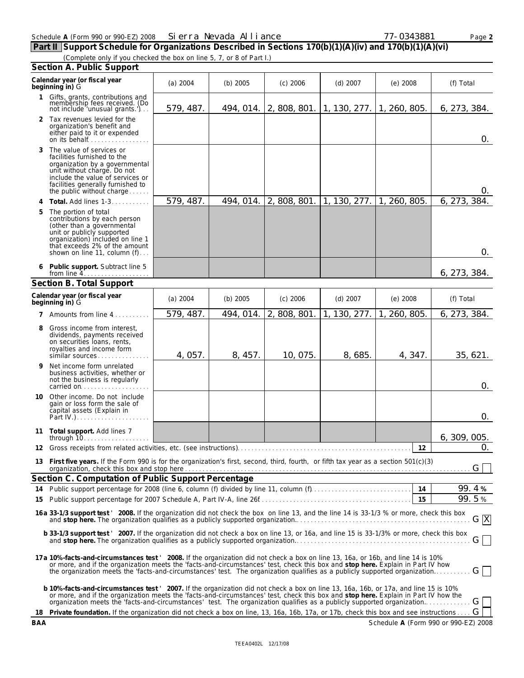| Schedule A (Form 990 or 990-EZ) 2008 | Alliance<br>Sierra Nevada | $/ -0343881$<br>$Page$ . |  |
|--------------------------------------|---------------------------|--------------------------|--|
|                                      |                           |                          |  |

**Part II Support Schedule for Organizations Described in Sections 170(b)(1)(A)(iv) and 170(b)(1)(A)(vi)** (Complete only if you checked the box on line 5, 7, or 8 of Part I.)

|              | Section A. Public Support                                                                                                                                                                                                                                                                                                                                                                                                                                                                                                                        |           |           |              |              |                           |                |
|--------------|--------------------------------------------------------------------------------------------------------------------------------------------------------------------------------------------------------------------------------------------------------------------------------------------------------------------------------------------------------------------------------------------------------------------------------------------------------------------------------------------------------------------------------------------------|-----------|-----------|--------------|--------------|---------------------------|----------------|
|              | Calendar year (or fiscal year<br>beginning in) G                                                                                                                                                                                                                                                                                                                                                                                                                                                                                                 | (a) 2004  | (b) 2005  | $(c)$ 2006   | $(d)$ 2007   | $(e)$ 2008                | (f) Total      |
| $\mathbf{1}$ | Gifts, grants, contributions and<br>membership fees received. (Do<br>not include 'unusual grants.')                                                                                                                                                                                                                                                                                                                                                                                                                                              | 579, 487. | 494, 014. | 2, 808, 801. | 1, 130, 277. | 1, 260, 805.              | 6, 273, 384.   |
|              | 2 Tax revenues levied for the<br>organization's benefit and<br>either paid to it or expended<br>on its behalf                                                                                                                                                                                                                                                                                                                                                                                                                                    |           |           |              |              |                           | 0.             |
| 3            | The value of services or<br>facilities furnished to the<br>organization by a governmental<br>unit without charge. Do not<br>include the value of services or<br>facilities generally furnished to<br>the public without charge                                                                                                                                                                                                                                                                                                                   |           |           |              |              |                           | 0.             |
| 4            | Total. Add lines 1-3.                                                                                                                                                                                                                                                                                                                                                                                                                                                                                                                            | 579, 487. | 494, 014. | 2, 808, 801. | 1, 130, 277. | 1, 260, 805.              | 6, 273, 384.   |
| 5            | The portion of total<br>contributions by each person<br>(other than a governmental<br>unit or publicly supported<br>organization) included on line 1<br>that exceeds 2% of the amount<br>shown on line 11, column (f)                                                                                                                                                                                                                                                                                                                            |           |           |              |              |                           | 0.             |
|              | Public support. Subtract line 5<br>from line $4$                                                                                                                                                                                                                                                                                                                                                                                                                                                                                                 |           |           |              |              |                           | 6, 273, 384.   |
|              | Section B. Total Support                                                                                                                                                                                                                                                                                                                                                                                                                                                                                                                         |           |           |              |              |                           |                |
|              | Calendar year (or fiscal year<br>beginning in) G                                                                                                                                                                                                                                                                                                                                                                                                                                                                                                 | (a) 2004  | (b) 2005  | $(c)$ 2006   | $(d)$ 2007   | $(e)$ 2008                | (f) Total      |
| 7            | Amounts from line 4                                                                                                                                                                                                                                                                                                                                                                                                                                                                                                                              | 579, 487. | 494, 014. | 2, 808, 801. | 1, 130, 277. | $\mathbf{1}$<br>260, 805. | 6, 273, 384.   |
| 8            | Gross income from interest,<br>dividends, payments received<br>on securities loans, rents,<br>royalties and income form<br>similar sources                                                                                                                                                                                                                                                                                                                                                                                                       | 4,057.    | 8, 457.   | 10, 075.     | 8, 685.      | 4, 347.                   | 35,621.        |
| 9            | Net income form unrelated<br>business activities, whether or<br>not the business is regularly<br>carried on                                                                                                                                                                                                                                                                                                                                                                                                                                      |           |           |              |              |                           | 0.             |
| 10           | Other income. Do not include<br>gain or loss form the sale of<br>capital assets (Explain in<br>Part IV.)                                                                                                                                                                                                                                                                                                                                                                                                                                         |           |           |              |              |                           | 0.             |
|              | 11 Total support. Add lines 7                                                                                                                                                                                                                                                                                                                                                                                                                                                                                                                    |           |           |              |              |                           | 6, 309, 005.   |
|              |                                                                                                                                                                                                                                                                                                                                                                                                                                                                                                                                                  |           |           |              |              | 12                        |                |
|              | 13 First five years. If the Form 990 is for the organization's first, second, third, fourth, or fifth tax year as a section 501(c)(3)<br>organization, check this box and stop here Matter and account of the control of the control of the control of                                                                                                                                                                                                                                                                                           |           |           |              |              |                           |                |
|              | Section C. Computation of Public Support Percentage                                                                                                                                                                                                                                                                                                                                                                                                                                                                                              |           |           |              |              |                           |                |
| 14<br>15     |                                                                                                                                                                                                                                                                                                                                                                                                                                                                                                                                                  |           |           |              |              | 15                        | 99.4%<br>99.5% |
|              | 16a 33-1/3 support test ' 2008. If the organization did not check the box on line 13, and the line 14 is 33-1/3 % or more, check this box                                                                                                                                                                                                                                                                                                                                                                                                        |           |           |              |              |                           | G X            |
|              | b 33-1/3 support test '2007. If the organization did not check a box on line 13, or 16a, and line 15 is 33-1/3% or more, check this box                                                                                                                                                                                                                                                                                                                                                                                                          |           |           |              |              |                           | G              |
|              | 17a 10%-facts-and-circumstances test '2008. If the organization did not check a box on line 13, 16a, or 16b, and line 14 is 10%<br>or more, and if the organization meets the 'facts-and-circumstances' test, check this box and stop here. Explain in Part IV how<br>the organization meets the 'facts-and-circumstances' test. The organization qualifies as a publicly supported organization                                                                                                                                                 |           |           |              |              |                           | $G$            |
|              | b 10%-facts-and-circumstances test 2007. If the organization did not check a box on line 13, 16a, 16b, or 17a, and line 15 is 10%<br>or more, and if the organization meets the 'facts-and-circumstances' test, check this box and stop here. Explain in Part IV how the<br>organization meets the 'facts-and-circumstances' test. The organization qualifies as a publicly supported organization.<br>18 Private foundation. If the organization did not check a box on line, 13, 16a, 16b, 17a, or 17b, check this box and see instructions  G |           |           |              |              |                           |                |

**BAA** Schedule **A** (Form 990 or 990-EZ) 2008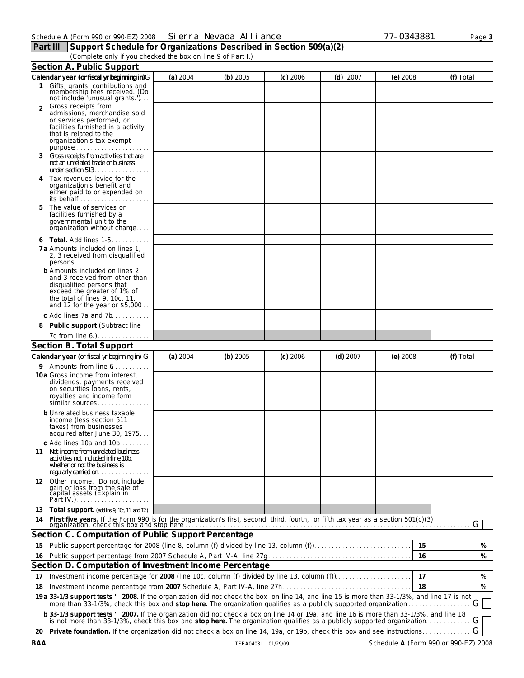#### Schedule A (Form 990 or 990-EZ) 2008 Sierra Nevada Alliance 77 - 0343881 Page 3 Sierra Nevada Alliance

**Section A. Public Support**

# **Part III Support Schedule for Organizations Described in Section 509(a)(2)** (Complete only if you checked the box on line 9 of Part I.)

**Calendar year (or fiscal yr beginning in)**G **(a)** 2004 **(b)** 2005 **(c)** 2006 **(d)** 2007 **(e)** 2008 **(f)** Total **1** Gifts, grants, contributions and membership fees received. (Do not include 'unusual grants.'). . . **2** Gross receipts from admissions, merchandise sold or services performed, or facilities furnished in a activity that is related to the organization's tax-exempt purpose. **3** Gross receipts from activities that are not an unrelated trade or business under section 513 **4** Tax revenues levied for the organization's benefit and either paid to or expended on its behalf. **5** The value of services or facilities furnished by a governmental unit to the organization without charge. . . . **6** Total. Add lines 1-5. **7a** Amounts included on lines 1, 2, 3 received from disqualified persons. **b** Amounts included on lines 2 and 3 received from other than disqualified persons that exceed the greater of 1% of the total of lines 9, 10c, 11, and 12 for the year or  $$5,000$ . c Add lines 7a and 7b. **8 Public support** (Subtract line 7 $c$  from line  $6$ .) **Section B. Total Support Calendar year** (or fiscal yr beginning in) G **(a)** 2004 **(b)** 2005 **(c)** 2006 **(d)** 2007 **(e)** 2008 **(f)** Total **9** Amounts from line 6. . . . . . . . . . . **10a** Gross income from interest, dividends, payments received on securities loans, rents, royalties and income form similar sources **b** Unrelated business taxable income (less section 511 taxes) from businesses acquired after June 30, 1975. . . c Add lines 10a and 10b. **11** Net income from unrelated business activities not included inline 10b, whether or not the business is regularly carried on. **12** Other income. Do not include gain or loss from the sale of capital assets (Explain in Part IV.). **13 Total support.** (add lns 9, 10c, 11, and 12.) **14 First five years.** If the Form 990 is for the organization's first, second, third, fourth, or fifth tax year as a section 501(c)(3) organization, check this box and stop here . . . . . . . . . . . . . . . . . . . . . . . . . . . . . . . . . . . . . . . . . . . . . . . . . . . . . . . . . . . . . . . . . . . . . . . . . . . . . . . . . . G **Section C. Computation of Public Support Percentage 15** Public support percentage for 2008 (line 8, column (f) divided by line 13, column (f)). . . . . . . . . . . . . . . . . . . . . . . . . . . . **15 % 16** Public support percentage from 2007 Schedule A, Part IV-A, line 27g . . . . . . . . . . . . . . . . . . . . . . . . . . . . . . . . . . . . . . . . . **16 % Section D. Computation of Investment Income Percentage 17** Investment income percentage for **2008** (line 10c, column (f) divided by line 13, column (f)). . . . . . . . . . . . . . . . . . . . . . **17** % **18** Investment income percentage from **2007** Schedule A, Part IV-A, line 27h . . . . . . . . . . . . . . . . . . . . . . . . . . . . . . . . . . . . . **18** % **19a 33-1/3 support tests** ' **2008.** If the organization did not check the box on line 14, and line 15 is more than 33-1/3%, and line 17 is not more than 33-1/3%, check this box and **stop here.** The organization qualifies as a publicly supported organization . . . . . . . . . . . . . . . . . . G **b 33-1/3 support tests** ' **2007.** If the organization did not check a box on line 14 or 19a, and line 16 is more than 33-1/3%, and line 18 is not more than 33-1/3%, check this box and **stop here.** The organization qualifies as a publicly supported organization. . . . . . . . . . . . . G **20 Private foundation.** If the organization did not check a box on line 14, 19a, or 19b, check this box and see instructions. . . . . . . . . . . . . . G